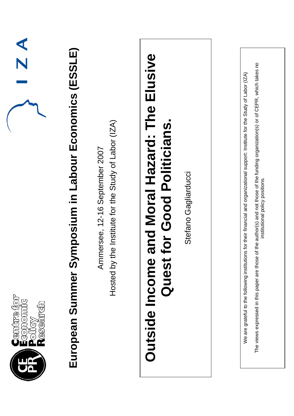| $\overline{Z}$ $\overline{A}$<br>Centre for<br>Economic<br>Policy<br>Research | nposium in Labour Economics (ESSLE)<br>European Summer Syr | Hosted by the Institute for the Study of Labor (IZA)<br>Ammersee, 12-16 September 2007 | and Moral Hazard: The Elusive<br><b>For Good Politicians</b><br><b>Outside Income</b><br>Quest | Stefano Gagliarducci | The views expressed in this paper are those of the author(s) and not those of the funding organization(s) or of CEPR, which takes no<br>for their financial and organizational support: Institute for the Study of Labor (IZA)<br>institutional policy positions.<br>We are grateful to the following institutions |
|-------------------------------------------------------------------------------|------------------------------------------------------------|----------------------------------------------------------------------------------------|------------------------------------------------------------------------------------------------|----------------------|--------------------------------------------------------------------------------------------------------------------------------------------------------------------------------------------------------------------------------------------------------------------------------------------------------------------|
|                                                                               |                                                            |                                                                                        |                                                                                                |                      |                                                                                                                                                                                                                                                                                                                    |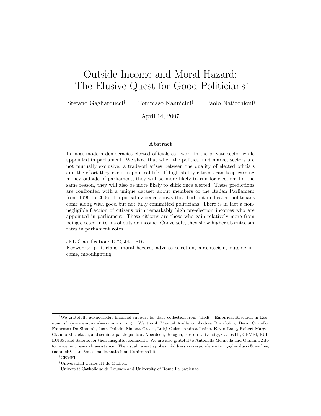# Outside Income and Moral Hazard: The Elusive Quest for Good Politicians<sup>∗</sup>

Stefano Gagliarducci† Tommaso Nannicini‡ Paolo Naticchioni§

April 14, 2007

#### **Abstract**

In most modern democracies elected officials can work in the private sector while appointed in parliament. We show that when the political and market sectors are not mutually exclusive, a trade-off arises between the quality of elected officials and the effort they exert in political life. If high-ability citizens can keep earning money outside of parliament, they will be more likely to run for election; for the same reason, they will also be more likely to shirk once elected. These predictions are confronted with a unique dataset about members of the Italian Parliament from 1996 to 2006. Empirical evidence shows that bad but dedicated politicians come along with good but not fully committed politicians. There is in fact a nonnegligible fraction of citizens with remarkably high pre-election incomes who are appointed in parliament. These citizens are those who gain relatively more from being elected in terms of outside income. Conversely, they show higher absenteeism rates in parliament votes.

JEL Classification: D72, J45, P16.

Keywords: politicians, moral hazard, adverse selection, absenteeism, outside income, moonlighting.

<sup>∗</sup>We gratefully acknowledge financial support for data collection from "ERE - Empirical Research in Economics" (www.empirical-economics.com). We thank Manuel Arellano, Andrea Brandolini, Decio Coviello, Francesco De Sinopoli, Juan Dolado, Simona Grassi, Luigi Guiso, Andrea Ichino, Kevin Lang, Robert Margo, Claudio Michelacci, and seminar participants at Aberdeen, Bologna, Boston University, Carlos III, CEMFI, EUI, LUISS, and Salerno for their insightful comments. We are also grateful to Antonella Mennella and Giuliana Zito for excellent research assistance. The usual caveat applies. Address correspondence to: gagliarducci@cemfi.es; tnannici@eco.uc3m.es; paolo.naticchioni@uniroma1.it.

<sup>†</sup>CEMFI.

<sup>‡</sup>Universidad Carlos III de Madrid.

 $\S$ Université Catholique de Louvain and University of Rome La Sapienza.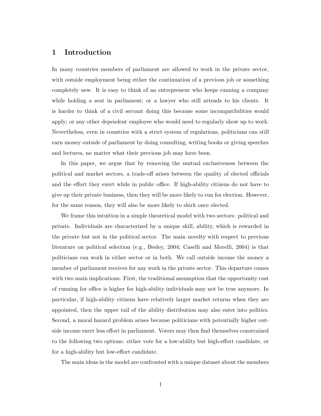### **1 Introduction**

In many countries members of parliament are allowed to work in the private sector, with outside employment being either the continuation of a previous job or something completely new. It is easy to think of an entrepreneur who keeps running a company while holding a seat in parliament; or a lawyer who still attends to his clients. It is harder to think of a civil servant doing this because some incompatibilities would apply; or any other dependent employee who would need to regularly show up to work. Nevertheless, even in countries with a strict system of regulations, politicians can still earn money outside of parliament by doing consulting, writing books or giving speeches and lectures, no matter what their previous job may have been.

In this paper, we argue that by removing the mutual exclusiveness between the political and market sectors, a trade-off arises between the quality of elected officials and the effort they exert while in public office. If high-ability citizens do not have to give up their private business, then they will be more likely to run for election. However, for the same reason, they will also be more likely to shirk once elected.

We frame this intuition in a simple theoretical model with two sectors: political and private. Individuals are characterized by a unique skill, ability, which is rewarded in the private but not in the political sector. The main novelty with respect to previous literature on political selection (e.g., Besley, 2004; Caselli and Morelli, 2004) is that politicians can work in either sector or in both. We call outside income the money a member of parliament receives for any work in the private sector. This departure comes with two main implications. First, the traditional assumption that the opportunity cost of running for office is higher for high-ability individuals may not be true anymore. In particular, if high-ability citizens have relatively larger market returns when they are appointed, then the upper tail of the ability distribution may also enter into politics. Second, a moral hazard problem arises because politicians with potentially higher outside income exert less effort in parliament. Voters may then find themselves constrained to the following two options: either vote for a low-ability but high-effort candidate, or for a high-ability but low-effort candidate.

The main ideas in the model are confronted with a unique dataset about the members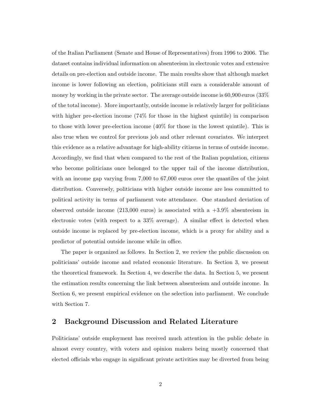of the Italian Parliament (Senate and House of Representatives) from 1996 to 2006. The dataset contains individual information on absenteeism in electronic votes and extensive details on pre-election and outside income. The main results show that although market income is lower following an election, politicians still earn a considerable amount of money by working in the private sector. The average outside income is 60,900 euros (33% of the total income). More importantly, outside income is relatively larger for politicians with higher pre-election income (74% for those in the highest quintile) in comparison to those with lower pre-election income (40% for those in the lowest quintile). This is also true when we control for previous job and other relevant covariates. We interpret this evidence as a relative advantage for high-ability citizens in terms of outside income. Accordingly, we find that when compared to the rest of the Italian population, citizens who become politicians once belonged to the upper tail of the income distribution, with an income gap varying from 7,000 to 67,000 euros over the quantiles of the joint distribution. Conversely, politicians with higher outside income are less committed to political activity in terms of parliament vote attendance. One standard deviation of observed outside income (213,000 euros) is associated with a +3.9% absenteeism in electronic votes (with respect to a 33% average). A similar effect is detected when outside income is replaced by pre-election income, which is a proxy for ability and a predictor of potential outside income while in office.

The paper is organized as follows. In Section 2, we review the public discussion on politicians' outside income and related economic literature. In Section 3, we present the theoretical framework. In Section 4, we describe the data. In Section 5, we present the estimation results concerning the link between absenteeism and outside income. In Section 6, we present empirical evidence on the selection into parliament. We conclude with Section 7.

### **2 Background Discussion and Related Literature**

Politicians' outside employment has received much attention in the public debate in almost every country, with voters and opinion makers being mostly concerned that elected officials who engage in significant private activities may be diverted from being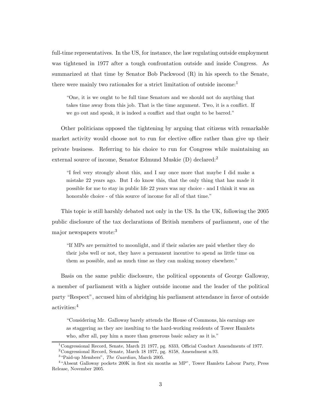full-time representatives. In the US, for instance, the law regulating outside employment was tightened in 1977 after a tough confrontation outside and inside Congress. As summarized at that time by Senator Bob Packwood (R) in his speech to the Senate, there were mainly two rationales for a strict limitation of outside income:<sup>1</sup>

"One, it is we ought to be full time Senators and we should not do anything that takes time away from this job. That is the time argument. Two, it is a conflict. If we go out and speak, it is indeed a conflict and that ought to be barred."

Other politicians opposed the tightening by arguing that citizens with remarkable market activity would choose not to run for elective office rather than give up their private business. Referring to his choice to run for Congress while maintaining an external source of income, Senator Edmund Muskie (D) declared:<sup>2</sup>

"I feel very strongly about this, and I say once more that maybe I did make a mistake 22 years ago. But I do know this, that the only thing that has made it possible for me to stay in public life 22 years was my choice - and I think it was an honorable choice - of this source of income for all of that time."

This topic is still harshly debated not only in the US. In the UK, following the 2005 public disclosure of the tax declarations of British members of parliament, one of the major newspapers wrote:<sup>3</sup>

"If MPs are permitted to moonlight, and if their salaries are paid whether they do their jobs well or not, they have a permanent incentive to spend as little time on them as possible, and as much time as they can making money elsewhere."

Basis on the same public disclosure, the political opponents of George Galloway, a member of parliament with a higher outside income and the leader of the political party "Respect", accused him of abridging his parliament attendance in favor of outside activities:<sup>4</sup>

"Considering Mr. Galloway barely attends the House of Commons, his earnings are as staggering as they are insulting to the hard-working residents of Tower Hamlets who, after all, pay him a more than generous basic salary as it is."

<sup>1</sup>Congressional Record, Senate, March 21 1977, pg. 8333, Official Conduct Amendments of 1977. <sup>2</sup>Congressional Record, Senate, March 18 1977, pg. 8158, Amendment n.93.

<sup>3</sup>"Paid-up Members", *The Guardian*, March 2005.

<sup>4</sup>"Absent Galloway pockets 200K in first six months as MP", Tower Hamlets Labour Party, Press Release, November 2005.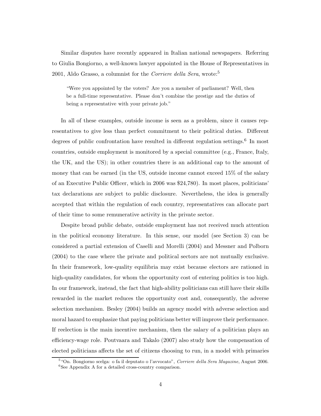Similar disputes have recently appeared in Italian national newspapers. Referring to Giulia Bongiorno, a well-known lawyer appointed in the House of Representatives in 2001, Aldo Grasso, a columnist for the *Corriere della Sera*, wrote:<sup>5</sup>

"Were you appointed by the voters? Are you a member of parliament? Well, then be a full-time representative. Please don't combine the prestige and the duties of being a representative with your private job."

In all of these examples, outside income is seen as a problem, since it causes representatives to give less than perfect commitment to their political duties. Different degrees of public confrontation have resulted in different regulation settings.<sup>6</sup> In most countries, outside employment is monitored by a special committee (e.g., France, Italy, the UK, and the US); in other countries there is an additional cap to the amount of money that can be earned (in the US, outside income cannot exceed 15% of the salary of an Executive Public Officer, which in 2006 was \$24,780). In most places, politicians' tax declarations are subject to public disclosure. Nevertheless, the idea is generally accepted that within the regulation of each country, representatives can allocate part of their time to some remunerative activity in the private sector.

Despite broad public debate, outside employment has not received much attention in the political economy literature. In this sense, our model (see Section 3) can be considered a partial extension of Caselli and Morelli (2004) and Messner and Polborn (2004) to the case where the private and political sectors are not mutually exclusive. In their framework, low-quality equilibria may exist because electors are rationed in high-quality candidates, for whom the opportunity cost of entering politics is too high. In our framework, instead, the fact that high-ability politicians can still have their skills rewarded in the market reduces the opportunity cost and, consequently, the adverse selection mechanism. Besley (2004) builds an agency model with adverse selection and moral hazard to emphasize that paying politicians better will improve their performance. If reelection is the main incentive mechanism, then the salary of a politician plays an efficiency-wage role. Poutvaara and Takalo (2007) also study how the compensation of elected politicians affects the set of citizens choosing to run, in a model with primaries

<sup>5</sup>"On. Bongiorno scelga: o fa il deputato o l'avvocato", *Corriere della Sera Magazine*, August 2006.  ${}^{6}$ See Appendix A for a detailed cross-country comparison.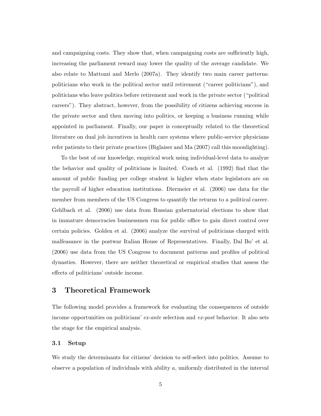and campaigning costs. They show that, when campaigning costs are sufficiently high, increasing the parliament reward may lower the quality of the average candidate. We also relate to Mattozzi and Merlo (2007a). They identify two main career patterns: politicians who work in the political sector until retirement ("career politicians"), and politicians who leave politics before retirement and work in the private sector ("political careers"). They abstract, however, from the possibility of citizens achieving success in the private sector and then moving into politics, or keeping a business running while appointed in parliament. Finally, our paper is conceptually related to the theoretical literature on dual job incentives in health care systems where public-service physicians refer patients to their private practices (Biglaiser and Ma (2007) call this moonlighting).

To the best of our knowledge, empirical work using individual-level data to analyze the behavior and quality of politicians is limited. Couch et al. (1992) find that the amount of public funding per college student is higher when state legislators are on the payroll of higher education institutions. Diermeier et al. (2006) use data for the member from members of the US Congress to quantify the returns to a political career. Gehlbach et al. (2006) use data from Russian gubernatorial elections to show that in immature democracies businessmen run for public office to gain direct control over certain policies. Golden et al. (2006) analyze the survival of politicians charged with malfeasance in the postwar Italian House of Representatives. Finally, Dal Bo' et al. (2006) use data from the US Congress to document patterns and profiles of political dynasties. However, there are neither theoretical or empirical studies that assess the effects of politicians' outside income.

### **3 Theoretical Framework**

The following model provides a framework for evaluating the consequences of outside income opportunities on politicians' *ex-ante* selection and *ex-post* behavior. It also sets the stage for the empirical analysis.

#### **3.1 Setup**

We study the determinants for citizens' decision to self-select into politics. Assume to observe a population of individuals with ability  $a$ , uniformly distributed in the interval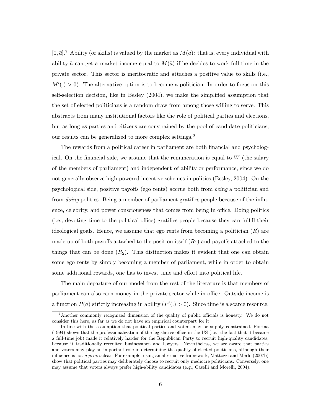$[0, \bar{a}]$ .<sup>7</sup> Ability (or skills) is valued by the market as  $M(a)$ : that is, every individual with ability  $\tilde{a}$  can get a market income equal to  $M(\tilde{a})$  if he decides to work full-time in the private sector. This sector is meritocratic and attaches a positive value to skills (i.e.,  $M'(.) > 0$ . The alternative option is to become a politician. In order to focus on this self-selection decision, like in Besley (2004), we make the simplified assumption that the set of elected politicians is a random draw from among those willing to serve. This abstracts from many institutional factors like the role of political parties and elections, but as long as parties and citizens are constrained by the pool of candidate politicians, our results can be generalized to more complex settings.<sup>8</sup>

The rewards from a political career in parliament are both financial and psychological. On the financial side, we assume that the remuneration is equal to  $W$  (the salary of the members of parliament) and independent of ability or performance, since we do not generally observe high-powered incentive schemes in politics (Besley, 2004). On the psychological side, positive payoffs (ego rents) accrue both from *being* a politician and from *doing* politics. Being a member of parliament gratifies people because of the influence, celebrity, and power consciousness that comes from being in office. Doing politics (i.e., devoting time to the political office) gratifies people because they can fulfill their ideological goals. Hence, we assume that ego rents from becoming a politician  $(R)$  are made up of both payoffs attached to the position itself  $(R_1)$  and payoffs attached to the things that can be done  $(R_2)$ . This distinction makes it evident that one can obtain some ego rents by simply becoming a member of parliament, while in order to obtain some additional rewards, one has to invest time and effort into political life.

The main departure of our model from the rest of the literature is that members of parliament can also earn money in the private sector while in office. Outside income is a function  $P(a)$  strictly increasing in ability  $(P'(.) > 0)$ . Since time is a scarce resource,

<sup>&</sup>lt;sup>7</sup>Another commonly recognized dimension of the quality of public officials is honesty. We do not consider this here, as far as we do not have an empirical counterpart for it.

<sup>&</sup>lt;sup>8</sup>In line with the assumption that political parties and voters may be supply constrained, Fiorina (1994) shows that the professionalization of the legislative office in the US (i.e., the fact that it became a full-time job) made it relatively harder for the Republican Party to recruit high-quality candidates, because it traditionally recruited businessmen and lawyers. Nevertheless, we are aware that parties and voters may play an important role in determining the quality of elected politicians, although their influence is not *a priori* clear. For example, using an alternative framework, Mattozzi and Merlo (2007b) show that political parties may deliberately choose to recruit only mediocre politicians. Conversely, one may assume that voters always prefer high-ability candidates (e.g., Caselli and Morelli, 2004).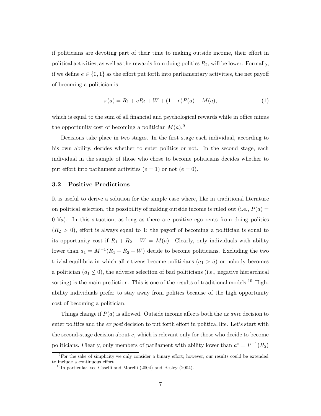if politicians are devoting part of their time to making outside income, their effort in political activities, as well as the rewards from doing politics  $R_2$ , will be lower. Formally, if we define  $e \in \{0,1\}$  as the effort put forth into parliamentary activities, the net payoff of becoming a politician is

$$
\pi(a) = R_1 + eR_2 + W + (1 - e)P(a) - M(a),\tag{1}
$$

which is equal to the sum of all financial and psychological rewards while in office minus the opportunity cost of becoming a politician  $M(a)$ .<sup>9</sup>

Decisions take place in two stages. In the first stage each individual, according to his own ability, decides whether to enter politics or not. In the second stage, each individual in the sample of those who chose to become politicians decides whether to put effort into parliament activities  $(e = 1)$  or not  $(e = 0)$ .

#### **3.2 Positive Predictions**

It is useful to derive a solution for the simple case where, like in traditional literature on political selection, the possibility of making outside income is ruled out (i.e.,  $P(a) =$  $0 \ \forall a$ ). In this situation, as long as there are positive ego rents from doing politics  $(R<sub>2</sub> > 0)$ , effort is always equal to 1; the payoff of becoming a politician is equal to its opportunity cost if  $R_1 + R_2 + W = M(a)$ . Clearly, only individuals with ability lower than  $a_1 = M^{-1}(R_1 + R_2 + W)$  decide to become politicians. Excluding the two trivial equilibria in which all citizens become politicians  $(a_1 > \bar{a})$  or nobody becomes a politician  $(a_1 \leq 0)$ , the adverse selection of bad politicians (i.e., negative hierarchical sorting) is the main prediction. This is one of the results of traditional models.<sup>10</sup> Highability individuals prefer to stay away from politics because of the high opportunity cost of becoming a politician.

Things change if P(a) is allowed. Outside income affects both the *ex ante* decision to enter politics and the *ex post* decision to put forth effort in political life. Let's start with the second-stage decision about e, which is relevant only for those who decide to become politicians. Clearly, only members of parliament with ability lower than  $a^* = P^{-1}(R_2)$ 

<sup>9</sup>For the sake of simplicity we only consider a binary effort; however, our results could be extended to include a continuous effort.

 $^{10}$ In particular, see Caselli and Morelli (2004) and Besley (2004).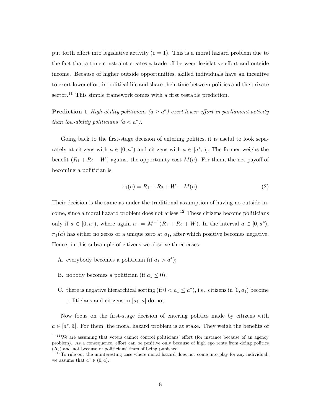put forth effort into legislative activity  $(e = 1)$ . This is a moral hazard problem due to the fact that a time constraint creates a trade-off between legislative effort and outside income. Because of higher outside opportunities, skilled individuals have an incentive to exert lower effort in political life and share their time between politics and the private  $\gamma$  sector.<sup>11</sup> This simple framework comes with a first testable prediction.

**Prediction 1** *High-ability politicians*  $(a \geq a^*)$  *exert lower effort in parliament activity than low-ability politicians*  $(a < a^*)$ *.* 

Going back to the first-stage decision of entering politics, it is useful to look separately at citizens with  $a \in [0, a^* )$  and citizens with  $a \in [a^*, \bar{a}]$ . The former weighs the benefit  $(R_1 + R_2 + W)$  against the opportunity cost  $M(a)$ . For them, the net payoff of becoming a politician is

$$
\pi_1(a) = R_1 + R_2 + W - M(a). \tag{2}
$$

Their decision is the same as under the traditional assumption of having no outside income, since a moral hazard problem does not arises.<sup>12</sup> These citizens become politicians only if  $a \in [0, a_1)$ , where again  $a_1 = M^{-1}(R_1 + R_2 + W)$ . In the interval  $a \in [0, a^*)$ ,  $\pi_1(a)$  has either no zeros or a unique zero at  $a_1$ , after which positive becomes negative. Hence, in this subsample of citizens we observe three cases:

- A. everybody becomes a politician (if  $a_1 > a^*$ );
- B. nobody becomes a politician (if  $a_1 \leq 0$ );
- C. there is negative hierarchical sorting (if  $0 < a_1 \leq a^*$ ), i.e., citizens in  $[0, a_1)$  become politicians and citizens in  $[a_1, \bar{a}]$  do not.

Now focus on the first-stage decision of entering politics made by citizens with  $a \in [a^*, \bar{a}]$ . For them, the moral hazard problem is at stake. They weigh the benefits of

<sup>&</sup>lt;sup>11</sup>We are assuming that voters cannot control politicians' effort (for instance because of an agency problem). As a consequence, effort can be positive only because of high ego rents from doing politics  $(R<sub>2</sub>)$  and not because of politicians' fears of being punished.

 $12$ <sup>To</sup> rule out the uninteresting case where moral hazard does not come into play for any individual, we assume that  $a^* \in (0, \bar{a})$ .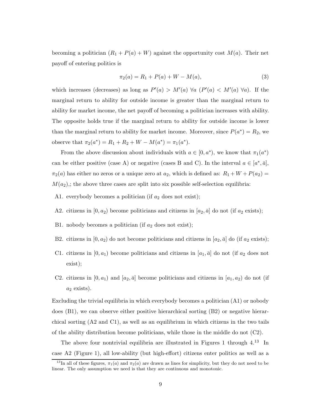becoming a politician  $(R_1 + P(a) + W)$  against the opportunity cost  $M(a)$ . Their net payoff of entering politics is

$$
\pi_2(a) = R_1 + P(a) + W - M(a),\tag{3}
$$

which increases (decreases) as long as  $P'(a) > M'(a) \ \forall a \ (P'(a) < M'(a) \ \forall a)$ . If the marginal return to ability for outside income is greater than the marginal return to ability for market income, the net payoff of becoming a politician increases with ability. The opposite holds true if the marginal return to ability for outside income is lower than the marginal return to ability for market income. Moreover, since  $P(a^*) = R_2$ , we observe that  $\pi_2(a^*) = R_1 + R_2 + W - M(a^*) = \pi_1(a^*).$ 

From the above discussion about individuals with  $a \in [0, a^*),$  we know that  $\pi_1(a^*)$ can be either positive (case A) or negative (cases B and C). In the interval  $a \in [a^*, \bar{a}]$ ,  $\pi_2(a)$  has either no zeros or a unique zero at  $a_2$ , which is defined as:  $R_1 + W + P(a_2) =$  $M(a_2)$ ; the above three cases are split into six possible self-selection equilibria:

- A1. everybody becomes a politician (if  $a_2$  does not exist);
- A2. citizens in  $[0, a_2)$  become politicians and citizens in  $[a_2, \bar{a}]$  do not (if  $a_2$  exists);
- B1. nobody becomes a politician (if  $a_2$  does not exist);
- B2. citizens in  $[0, a_2)$  do not become politicians and citizens in  $[a_2, \bar{a}]$  do (if  $a_2$  exists);
- C1. citizens in  $[0, a_1)$  become politicians and citizens in  $[a_1, \bar{a}]$  do not (if  $a_2$  does not exist);
- C2. citizens in  $[0, a_1)$  and  $[a_2, \bar{a}]$  become politicians and citizens in  $[a_1, a_2]$  do not (if  $a_2$  exists).

Excluding the trivial equilibria in which everybody becomes a politician (A1) or nobody does (B1), we can observe either positive hierarchical sorting (B2) or negative hierarchical sorting (A2 and C1), as well as an equilibrium in which citizens in the two tails of the ability distribution become politicians, while those in the middle do not  $(C2)$ .

The above four nontrivial equilibria are illustrated in Figures 1 through 4.<sup>13</sup> In case A2 (Figure 1), all low-ability (but high-effort) citizens enter politics as well as a

<sup>&</sup>lt;sup>13</sup>In all of these figures,  $\pi_1(a)$  and  $\pi_2(a)$  are drawn as lines for simplicity, but they do not need to be linear. The only assumption we need is that they are continuous and monotonic.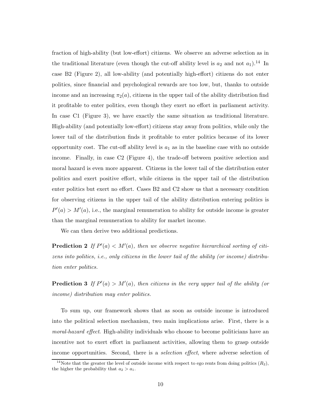fraction of high-ability (but low-effort) citizens. We observe an adverse selection as in the traditional literature (even though the cut-off ability level is  $a_2$  and not  $a_1$ ).<sup>14</sup> In case B2 (Figure 2), all low-ability (and potentially high-effort) citizens do not enter politics, since financial and psychological rewards are too low, but, thanks to outside income and an increasing  $\pi_2(a)$ , citizens in the upper tail of the ability distribution find it profitable to enter politics, even though they exert no effort in parliament activity. In case C1 (Figure 3), we have exactly the same situation as traditional literature. High-ability (and potentially low-effort) citizens stay away from politics, while only the lower tail of the distribution finds it profitable to enter politics because of its lower opportunity cost. The cut-off ability level is  $a_1$  as in the baseline case with no outside income. Finally, in case C2 (Figure 4), the trade-off between positive selection and moral hazard is even more apparent. Citizens in the lower tail of the distribution enter politics and exert positive effort, while citizens in the upper tail of the distribution enter politics but exert no effort. Cases B2 and C2 show us that a necessary condition for observing citizens in the upper tail of the ability distribution entering politics is  $P'(a) > M'(a)$ , i.e., the marginal remuneration to ability for outside income is greater than the marginal remuneration to ability for market income.

We can then derive two additional predictions.

**Prediction 2** If  $P'(a) < M'(a)$ , then we observe negative hierarchical sorting of citi*zens into politics, i.e., only citizens in the lower tail of the ability (or income) distribution enter politics.*

**Prediction 3** If  $P'(a) > M'(a)$ , then citizens in the very upper tail of the ability (or *income) distribution may enter politics.*

To sum up, our framework shows that as soon as outside income is introduced into the political selection mechanism, two main implications arise. First, there is a *moral-hazard effect*. High-ability individuals who choose to become politicians have an incentive not to exert effort in parliament activities, allowing them to grasp outside income opportunities. Second, there is a *selection effect*, where adverse selection of

<sup>&</sup>lt;sup>14</sup>Note that the greater the level of outside income with respect to ego rents from doing politics  $(R_2)$ , the higher the probability that  $a_2 > a_1$ .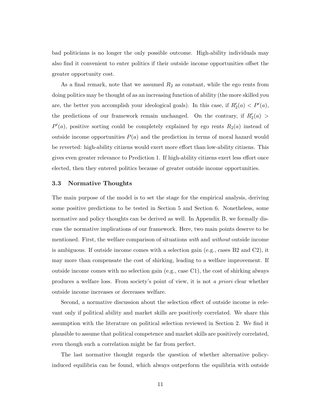bad politicians is no longer the only possible outcome. High-ability individuals may also find it convenient to enter politics if their outside income opportunities offset the greater opportunity cost.

As a final remark, note that we assumed  $R_2$  as constant, while the ego rents from doing politics may be thought of as an increasing function of ability (the more skilled you are, the better you accomplish your ideological goals). In this case, if  $R'_2(a) < P'(a)$ , the predictions of our framework remain unchanged. On the contrary, if  $R'_2(a)$  $P'(a)$ , positive sorting could be completely explained by ego rents  $R_2(a)$  instead of outside income opportunities  $P(a)$  and the prediction in terms of moral hazard would be reverted: high-ability citizens would exert more effort than low-ability citizens. This gives even greater relevance to Prediction 1. If high-ability citizens exert less effort once elected, then they entered politics because of greater outside income opportunities.

#### **3.3 Normative Thoughts**

The main purpose of the model is to set the stage for the empirical analysis, deriving some positive predictions to be tested in Section 5 and Section 6. Nonetheless, some normative and policy thoughts can be derived as well. In Appendix B, we formally discuss the normative implications of our framework. Here, two main points deserve to be mentioned. First, the welfare comparison of situations *with* and *without* outside income is ambiguous. If outside income comes with a selection gain (e.g., cases B2 and C2), it may more than compensate the cost of shirking, leading to a welfare improvement. If outside income comes with no selection gain (e.g., case C1), the cost of shirking always produces a welfare loss. From society's point of view, it is not *a priori* clear whether outside income increases or decreases welfare.

Second, a normative discussion about the selection effect of outside income is relevant only if political ability and market skills are positively correlated. We share this assumption with the literature on political selection reviewed in Section 2. We find it plausible to assume that political competence and market skills are positively correlated, even though such a correlation might be far from perfect.

The last normative thought regards the question of whether alternative policyinduced equilibria can be found, which always outperform the equilibria with outside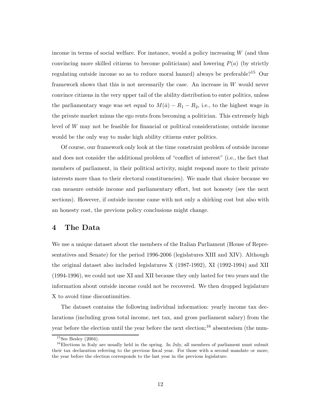income in terms of social welfare. For instance, would a policy increasing  $W$  (and thus convincing more skilled citizens to become politicians) and lowering  $P(a)$  (by strictly regulating outside income so as to reduce moral hazard) always be preferable?<sup>15</sup> Our framework shows that this is not necessarily the case. An increase in W would never convince citizens in the very upper tail of the ability distribution to enter politics, unless the parliamentary wage was set equal to  $M(\bar{a}) - R_1 - R_2$ , i.e., to the highest wage in the private market minus the ego rents from becoming a politician. This extremely high level of W may not be feasible for financial or political considerations; outside income would be the only way to make high ability citizens enter politics.

Of course, our framework only look at the time constraint problem of outside income and does not consider the additional problem of "conflict of interest" (i.e., the fact that members of parliament, in their political activity, might respond more to their private interests more than to their electoral constituencies). We made that choice because we can measure outside income and parliamentary effort, but not honesty (see the next sections). However, if outside income came with not only a shirking cost but also with an honesty cost, the previous policy conclusions might change.

### **4 The Data**

We use a unique dataset about the members of the Italian Parliament (House of Representatives and Senate) for the period 1996-2006 (legislatures XIII and XIV). Although the original dataset also included legislatures X (1987-1992), XI (1992-1994) and XII (1994-1996), we could not use XI and XII because they only lasted for two years and the information about outside income could not be recovered. We then dropped legislature X to avoid time discontinuities.

The dataset contains the following individual information: yearly income tax declarations (including gross total income, net tax, and gross parliament salary) from the year before the election until the year before the next election;<sup>16</sup> absenteeism (the num-

 $15$ See Besley (2004).

 $16$ Elections in Italy are usually held in the spring. In July, all members of parliament must submit their tax declaration referring to the previous fiscal year. For those with a second mandate or more, the year before the election corresponds to the last year in the previous legislature.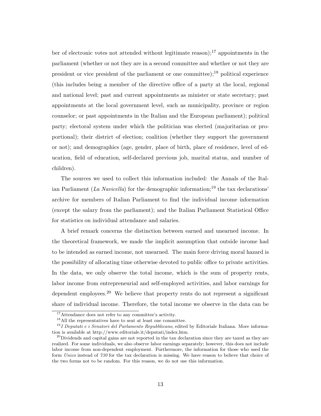ber of electronic votes not attended without legitimate reason);<sup>17</sup> appointments in the parliament (whether or not they are in a second committee and whether or not they are president or vice president of the parliament or one committee); $^{18}$  political experience (this includes being a member of the directive office of a party at the local, regional and national level; past and current appointments as minister or state secretary; past appointments at the local government level, such as municipality, province or region counselor; or past appointments in the Italian and the European parliament); political party; electoral system under which the politician was elected (majoritarian or proportional); their district of election; coalition (whether they support the government or not); and demographics (age, gender, place of birth, place of residence, level of education, field of education, self-declared previous job, marital status, and number of children).

The sources we used to collect this information included: the Annals of the Italian Parliament (*La Navicella*) for the demographic information;<sup>19</sup> the tax declarations' archive for members of Italian Parliament to find the individual income information (except the salary from the parliament); and the Italian Parliament Statistical Office for statistics on individual attendance and salaries.

A brief remark concerns the distinction between earned and unearned income. In the theoretical framework, we made the implicit assumption that outside income had to be intended as earned income, not unearned. The main force driving moral hazard is the possibility of allocating time otherwise devoted to public office to private activities. In the data, we only observe the total income, which is the sum of property rents, labor income from entrepreneurial and self-employed activities, and labor earnings for dependent employees.<sup>20</sup> We believe that property rents do not represent a significant share of individual income. Therefore, the total income we observe in the data can be

<sup>&</sup>lt;sup>17</sup>Attendance does not refer to any committee's activity.

<sup>18</sup>All the representatives have to seat at least one committee.

<sup>19</sup>*I Deputati e i Senatori del Parlamento Repubblicano*, edited by Editoriale Italiana. More information is available at http://www.editoriale.it/deputati/index.htm.

 $^{20}$ Dividends and capital gains are not reported in the tax declaration since they are taxed as they are realized. For some individuals, we also observe labor earnings separately; however, this does not include labor income from non-dependent employment. Furthermore, the information for those who used the form *Unico* instead of *730* for the tax declaration is missing. We have reason to believe that choice of the two forms not to be random. For this reason, we do not use this information.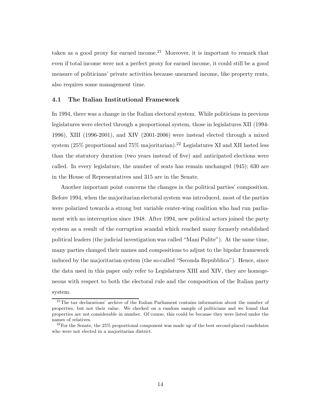taken as a good proxy for earned income.<sup>21</sup> Moreover, it is important to remark that even if total income were not a perfect proxy for earned income, it could still be a good measure of politicians' private activities because unearned income, like property rents, also requires some management time.

#### **4.1 The Italian Institutional Framework**

In 1994, there was a change in the Italian electoral system. While politicians in previous legislatures were elected through a proportional system, those in legislatures XII (1994- 1996), XIII (1996-2001), and XIV (2001-2006) were instead elected through a mixed system  $(25\%$  proportional and  $75\%$  majoritarian).<sup>22</sup> Legislatures XI and XII lasted less than the statutory duration (two years instead of five) and anticipated elections were called. In every legislature, the number of seats has remain unchanged (945); 630 are in the House of Representatives and 315 are in the Senate.

Another important point concerns the changes in the political parties' composition. Before 1994, when the majoritarian electoral system was introduced, most of the parties were polarized towards a strong but variable center-wing coalition who had run parliament with no interruption since 1948. After 1994, new political actors joined the party system as a result of the corruption scandal which reached many formerly established political leaders (the judicial investigation was called "Mani Pulite"). At the same time, many parties changed their names and compositions to adjust to the bipolar framework induced by the majoritarian system (the so-called "Seconda Repubblica"). Hence, since the data used in this paper only refer to Legislatures XIII and XIV, they are homogeneous with respect to both the electoral rule and the composition of the Italian party system.

<sup>&</sup>lt;sup>21</sup>The tax declarations' archive of the Italian Parliament contains information about the number of properties, but not their value. We checked on a random sample of politicians and we found that properties are not considerable in number. Of course, this could be because they were listed under the names of relatives.

 $^{22}$ For the Senate, the 25% proportional component was made up of the best second-placed candidates who were not elected in a majoritarian district.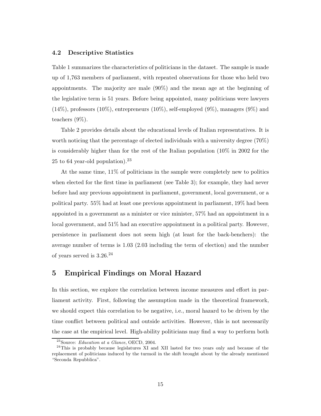#### **4.2 Descriptive Statistics**

Table 1 summarizes the characteristics of politicians in the dataset. The sample is made up of 1,763 members of parliament, with repeated observations for those who held two appointments. The majority are male (90%) and the mean age at the beginning of the legislative term is 51 years. Before being appointed, many politicians were lawyers (14%), professors (10%), entrepreneurs (10%), self-employed (9%), managers (9%) and teachers (9%).

Table 2 provides details about the educational levels of Italian representatives. It is worth noticing that the percentage of elected individuals with a university degree (70%) is considerably higher than for the rest of the Italian population (10% in 2002 for the 25 to 64 year-old population).  $23$ 

At the same time, 11% of politicians in the sample were completely new to politics when elected for the first time in parliament (see Table 3); for example, they had never before had any previous appointment in parliament, government, local government, or a political party. 55% had at least one previous appointment in parliament, 19% had been appointed in a government as a minister or vice minister, 57% had an appointment in a local government, and 51% had an executive appointment in a political party. However, persistence in parliament does not seem high (at least for the back-benchers): the average number of terms is 1.03 (2.03 including the term of election) and the number of years served is 3.26.<sup>24</sup>

### **5 Empirical Findings on Moral Hazard**

In this section, we explore the correlation between income measures and effort in parliament activity. First, following the assumption made in the theoretical framework, we should expect this correlation to be negative, i.e., moral hazard to be driven by the time conflict between political and outside activities. However, this is not necessarily the case at the empirical level. High-ability politicians may find a way to perform both

<sup>23</sup>Source: *Education at a Glance*, OECD, 2004.

<sup>&</sup>lt;sup>24</sup>This is probably because legislatures XI and XII lasted for two years only and because of the replacement of politicians induced by the turmoil in the shift brought about by the already mentioned "Seconda Repubblica".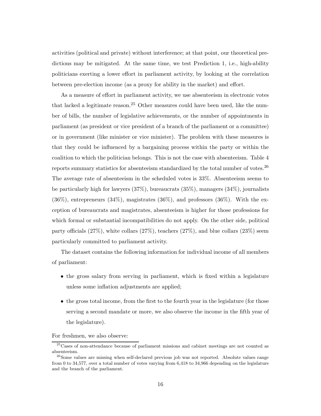activities (political and private) without interference; at that point, our theoretical predictions may be mitigated. At the same time, we test Prediction 1, i.e., high-ability politicians exerting a lower effort in parliament activity, by looking at the correlation between pre-election income (as a proxy for ability in the market) and effort.

As a measure of effort in parliament activity, we use absenteeism in electronic votes that lacked a legitimate reason.<sup>25</sup> Other measures could have been used, like the number of bills, the number of legislative achievements, or the number of appointments in parliament (as president or vice president of a branch of the parliament or a committee) or in government (like minister or vice minister). The problem with these measures is that they could be influenced by a bargaining process within the party or within the coalition to which the politician belongs. This is not the case with absenteeism. Table 4 reports summary statistics for absenteeism standardized by the total number of votes.<sup>26</sup> The average rate of absenteeism in the scheduled votes is 33%. Absenteeism seems to be particularly high for lawyers (37%), bureaucrats (35%), managers (34%), journalists  $(36\%)$ , entrepreneurs  $(34\%)$ , magistrates  $(36\%)$ , and professors  $(36\%)$ . With the exception of bureaucrats and magistrates, absenteeism is higher for those professions for which formal or substantial incompatibilities do not apply. On the other side, political party officials (27%), white collars (27%), teachers (27%), and blue collars (23%) seem particularly committed to parliament activity.

The dataset contains the following information for individual income of all members of parliament:

- the gross salary from serving in parliament, which is fixed within a legislature unless some inflation adjustments are applied;
- the gross total income, from the first to the fourth year in the legislature (for those serving a second mandate or more, we also observe the income in the fifth year of the legislature).

For freshmen, we also observe:

<sup>&</sup>lt;sup>25</sup>Cases of non-attendance because of parliament missions and cabinet meetings are not counted as absenteeism.

<sup>&</sup>lt;sup>26</sup>Some values are missing when self-declared previous job was not reported. Absolute values range from 0 to 34,577, over a total number of votes varying from 6,418 to 34,966 depending on the legislature and the branch of the parliament.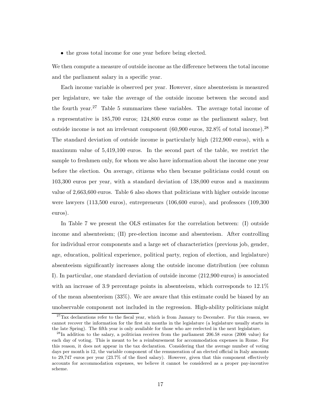• the gross total income for one year before being elected.

We then compute a measure of outside income as the difference between the total income and the parliament salary in a specific year.

Each income variable is observed per year. However, since absenteeism is measured per legislature, we take the average of the outside income between the second and the fourth year.<sup>27</sup> Table 5 summarizes these variables. The average total income of a representative is 185,700 euros; 124,800 euros come as the parliament salary, but outside income is not an irrelevant component (60,900 euros, 32.8% of total income).<sup>28</sup> The standard deviation of outside income is particularly high (212,900 euros), with a maximum value of 5,419,100 euros. In the second part of the table, we restrict the sample to freshmen only, for whom we also have information about the income one year before the election. On average, citizens who then became politicians could count on 103,300 euros per year, with a standard deviation of 138,000 euros and a maximum value of 2,663,600 euros. Table 6 also shows that politicians with higher outside income were lawyers (113,500 euros), entrepreneurs (106,600 euros), and professors (109,300 euros).

In Table 7 we present the OLS estimates for the correlation between: (I) outside income and absenteeism; (II) pre-election income and absenteeism. After controlling for individual error components and a large set of characteristics (previous job, gender, age, education, political experience, political party, region of election, and legislature) absenteeism significantly increases along the outside income distribution (see column I). In particular, one standard deviation of outside income (212,900 euros) is associated with an increase of 3.9 percentage points in absenteeism, which corresponds to  $12.1\%$ of the mean absenteeism (33%). We are aware that this estimate could be biased by an unobservable component not included in the regression. High-ability politicians might

 $27$ Tax declarations refer to the fiscal year, which is from January to December. For this reason, we cannot recover the information for the first six months in the legislature (a legislature usually starts in the late Spring). The fifth year is only available for those who are reelected in the next legislature.

 $^{28}$ In addition to the salary, a politician receives from the parliament 206.58 euros (2006 value) for each day of voting. This is meant to be a reimbursement for accommodation expenses in Rome. For this reason, it does not appear in the tax declaration. Considering that the average number of voting days per month is 12, the variable component of the remuneration of an elected official in Italy amounts to 29,747 euros per year (23.7% of the fixed salary). However, given that this component effectively accounts for accommodation expenses, we believe it cannot be considered as a proper pay-incentive scheme.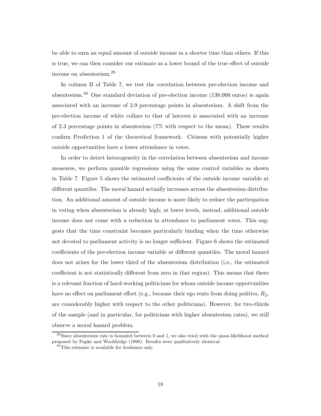be able to earn an equal amount of outside income in a shorter time than others. If this is true, we can then consider our estimate as a lower bound of the true effect of outside income on absenteeism.<sup>29</sup>

In column II of Table 7, we test the correlation between pre-election income and absenteeism.<sup>30</sup> One standard deviation of pre-election income (138,000 euros) is again associated with an increase of 3.9 percentage points in absenteeism. A shift from the pre-election income of white collars to that of lawyers is associated with an increase of 2.3 percentage points in absenteeism (7% with respect to the mean). These results confirm Prediction 1 of the theoretical framework. Citizens with potentially higher outside opportunities have a lower attendance in votes.

In order to detect heterogeneity in the correlation between absenteeism and income measures, we perform quantile regressions using the same control variables as shown in Table 7. Figure 5 shows the estimated coefficients of the outside income variable at different quantiles. The moral hazard actually increases across the absenteeism distribution. An additional amount of outside income is more likely to reduce the participation in voting when absenteeism is already high; at lower levels, instead, additional outside income does not come with a reduction in attendance to parliament votes. This suggests that the time constraint becomes particularly binding when the time otherwise not devoted to parliament activity is no longer sufficient. Figure 6 shows the estimated coefficients of the pre-election income variable at different quantiles. The moral hazard does not arises for the lower third of the absenteeism distribution (i.e., the estimated coefficient is not statistically different from zero in that region). This means that there is a relevant fraction of hard-working politicians for whom outside income opportunities have no effect on parliament effort (e.g., because their ego rents from doing politics,  $R_2$ , are considerably higher with respect to the other politicians). However, for two-thirds of the sample (and in particular, for politicians with higher absenteeism rates), we still observe a moral hazard problem.

 $^{29}$ Since absenteeism rate is bounded between 0 and 1, we also tried with the quasi-likelihood method proposed by Papke and Wooldridge (1996). Results were qualitatively identical.

<sup>30</sup>This estimate is available for freshmen only.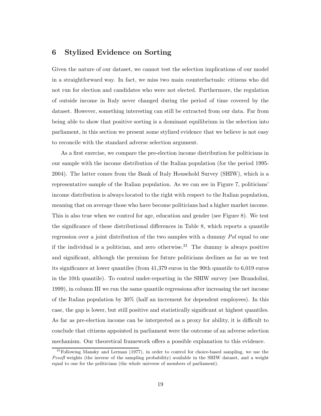### **6 Stylized Evidence on Sorting**

Given the nature of our dataset, we cannot test the selection implications of our model in a straightforward way. In fact, we miss two main counterfactuals: citizens who did not run for election and candidates who were not elected. Furthermore, the regulation of outside income in Italy never changed during the period of time covered by the dataset. However, something interesting can still be extracted from our data. Far from being able to show that positive sorting is a dominant equilibrium in the selection into parliament, in this section we present some stylized evidence that we believe is not easy to reconcile with the standard adverse selection argument.

As a first exercise, we compare the pre-election income distribution for politicians in our sample with the income distribution of the Italian population (for the period 1995- 2004). The latter comes from the Bank of Italy Household Survey (SHIW), which is a representative sample of the Italian population. As we can see in Figure 7, politicians' income distribution is always located to the right with respect to the Italian population, meaning that on average those who have become politicians had a higher market income. This is also true when we control for age, education and gender (see Figure 8). We test the significance of these distributional differences in Table 8, which reports a quantile regression over a joint distribution of the two samples with a dummy *Pol* equal to one if the individual is a politician, and zero otherwise.<sup>31</sup> The dummy is always positive and significant, although the premium for future politicians declines as far as we test its significance at lower quantiles (from 41,379 euros in the 90th quantile to 6,019 euros in the 10th quantile). To control under-reporting in the SHIW survey (see Brandolini, 1999), in column III we run the same quantile regressions after increasing the net income of the Italian population by 30% (half an increment for dependent employees). In this case, the gap is lower, but still positive and statistically significant at highest quantiles. As far as pre-election income can be interpreted as a proxy for ability, it is difficult to conclude that citizens appointed in parliament were the outcome of an adverse selection mechanism. Our theoretical framework offers a possible explanation to this evidence.

<sup>&</sup>lt;sup>31</sup>Following Mansky and Lerman (1977), in order to control for choice-based sampling, we use the *Pesofl* weights (the inverse of the sampling probability) available in the SHIW dataset, and a weight equal to one for the politicians (the whole universe of members of parliament).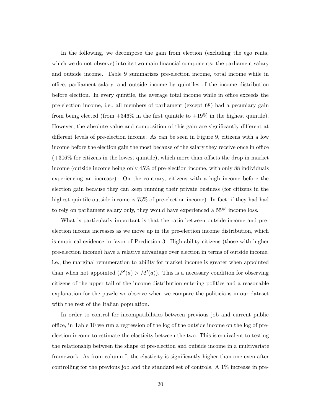In the following, we decompose the gain from election (excluding the ego rents, which we do not observe) into its two main financial components: the parliament salary and outside income. Table 9 summarizes pre-election income, total income while in office, parliament salary, and outside income by quintiles of the income distribution before election. In every quintile, the average total income while in office exceeds the pre-election income, i.e., all members of parliament (except 68) had a pecuniary gain from being elected (from  $+346\%$  in the first quintile to  $+19\%$  in the highest quintile). However, the absolute value and composition of this gain are significantly different at different levels of pre-election income. As can be seen in Figure 9, citizens with a low income before the election gain the most because of the salary they receive once in office (+306% for citizens in the lowest quintile), which more than offsets the drop in market income (outside income being only 45% of pre-election income, with only 88 individuals experiencing an increase). On the contrary, citizens with a high income before the election gain because they can keep running their private business (for citizens in the highest quintile outside income is  $75\%$  of pre-election income). In fact, if they had had to rely on parliament salary only, they would have experienced a 55% income loss.

What is particularly important is that the ratio between outside income and preelection income increases as we move up in the pre-election income distribution, which is empirical evidence in favor of Prediction 3. High-ability citizens (those with higher pre-election income) have a relative advantage over election in terms of outside income, i.e., the marginal remuneration to ability for market income is greater when appointed than when not appointed  $(P'(a) > M'(a))$ . This is a necessary condition for observing citizens of the upper tail of the income distribution entering politics and a reasonable explanation for the puzzle we observe when we compare the politicians in our dataset with the rest of the Italian population.

In order to control for incompatibilities between previous job and current public office, in Table 10 we run a regression of the log of the outside income on the log of preelection income to estimate the elasticity between the two. This is equivalent to testing the relationship between the shape of pre-election and outside income in a multivariate framework. As from column I, the elasticity is significantly higher than one even after controlling for the previous job and the standard set of controls. A 1% increase in pre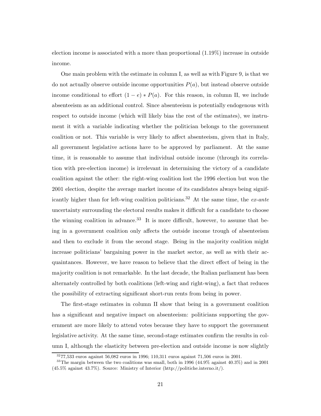election income is associated with a more than proportional (1.19%) increase in outside income.

One main problem with the estimate in column I, as well as with Figure 9, is that we do not actually observe outside income opportunities  $P(a)$ , but instead observe outside income conditional to effort  $(1 - e) * P(a)$ . For this reason, in column II, we include absenteeism as an additional control. Since absenteeism is potentially endogenous with respect to outside income (which will likely bias the rest of the estimates), we instrument it with a variable indicating whether the politician belongs to the government coalition or not. This variable is very likely to affect absenteeism, given that in Italy, all government legislative actions have to be approved by parliament. At the same time, it is reasonable to assume that individual outside income (through its correlation with pre-election income) is irrelevant in determining the victory of a candidate coalition against the other: the right-wing coalition lost the 1996 election but won the 2001 election, despite the average market income of its candidates always being significantly higher than for left-wing coalition politicians.<sup>32</sup> At the same time, the *ex-ante* uncertainty surrounding the electoral results makes it difficult for a candidate to choose the winning coalition in advance.<sup>33</sup> It is more difficult, however, to assume that being in a government coalition only affects the outside income trough of absenteeism and then to exclude it from the second stage. Being in the majority coalition might increase politicians' bargaining power in the market sector, as well as with their acquaintances. However, we have reason to believe that the direct effect of being in the majority coalition is not remarkable. In the last decade, the Italian parliament has been alternately controlled by both coalitions (left-wing and right-wing), a fact that reduces the possibility of extracting significant short-run rents from being in power.

The first-stage estimates in column II show that being in a government coalition has a significant and negative impact on absenteeism: politicians supporting the government are more likely to attend votes because they have to support the government legislative activity. At the same time, second-stage estimates confirm the results in column I, although the elasticity between pre-election and outside income is now slightly

 $3277,533$  euros against 56,082 euros in 1996; 110,311 euros against 71,506 euros in 2001.

<sup>&</sup>lt;sup>33</sup>The margin between the two coalitions was small, both in 1996 (44.9% against 40.3%) and in 2001 (45.5% against 43.7%). Source: Ministry of Interior (http://politiche.interno.it/).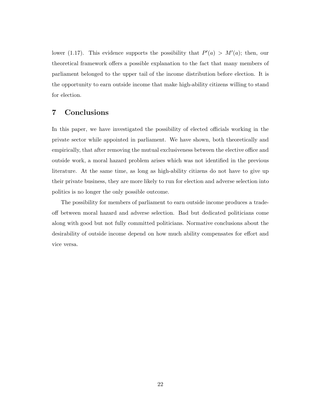lower (1.17). This evidence supports the possibility that  $P'(a) > M'(a)$ ; then, our theoretical framework offers a possible explanation to the fact that many members of parliament belonged to the upper tail of the income distribution before election. It is the opportunity to earn outside income that make high-ability citizens willing to stand for election.

### **7 Conclusions**

In this paper, we have investigated the possibility of elected officials working in the private sector while appointed in parliament. We have shown, both theoretically and empirically, that after removing the mutual exclusiveness between the elective office and outside work, a moral hazard problem arises which was not identified in the previous literature. At the same time, as long as high-ability citizens do not have to give up their private business, they are more likely to run for election and adverse selection into politics is no longer the only possible outcome.

The possibility for members of parliament to earn outside income produces a tradeoff between moral hazard and adverse selection. Bad but dedicated politicians come along with good but not fully committed politicians. Normative conclusions about the desirability of outside income depend on how much ability compensates for effort and vice versa.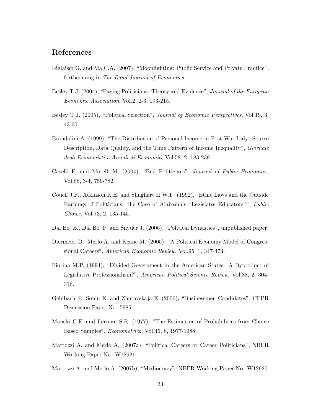### **References**

- Biglaiser G. and Ma C.A. (2007), "Moonlighting: Public Service and Private Practice", forthcoming in *The Rand Journal of Economics*.
- Besley T.J. (2004), "Paying Politicians: Theory and Evidence", *Journal of the European Economic Association*, Vol.2, 2-3, 193-215.
- Besley T.J. (2005), "Political Selection", *Journal of Economic Perspectives*, Vol.19, 3, 43-60.
- Brandolini A. (1999), "The Distribution of Personal Income in Post-War Italy: Source Description, Data Quality, and the Time Pattern of Income Inequality", *Giornale degli Economisti e Annali di Economia*, Vol.58, 2, 183-239.
- Caselli F. and Morelli M. (2004), "Bad Politicians", *Journal of Public Economics*, Vol.88, 3-4, 759-782.
- Couch J.F., Atkinson K.E. and Shughart II W.F. (1992), "Ethic Laws and the Outside Earnings of Politicians: the Case of Alabama's "Legislator-Educators"", *Public Choice*, Vol.73, 2, 135-145.
- Dal Bo' E., Dal Bo' P. and Snyder J. (2006), "Political Dynasties", unpublished paper.
- Diermeier D., Merlo A. and Keane M. (2005), "A Political Economy Model of Congressional Careers", *American Economic Review*, Vol.95, 1, 347-373.
- Fiorina M.P. (1994), "Divided Government in the American States: A Byproduct of Legislative Professionalism?", *American Political Science Review*, Vol.88, 2, 304- 316.
- Gehlbach S., Sonin K. and Zhuravskaja E. (2006), "Businessmen Candidates", CEPR Discussion Paper No. 5985.
- Manski C.F. and Lerman S.R. (1977), "The Estimation of Probabilities from Choice Based Samples", *Econometrica*, Vol.45, 8, 1977-1988.
- Mattozzi A. and Merlo A. (2007a), "Political Careers or Career Politicians", NBER Working Paper No. W12921.
- Mattozzi A. and Merlo A. (2007b), "Mediocracy", NBER Working Paper No. W12920.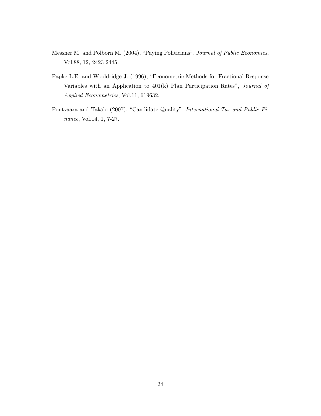- Messner M. and Polborn M. (2004), "Paying Politicians", *Journal of Public Economics*, Vol.88, 12, 2423-2445.
- Papke L.E. and Wooldridge J. (1996), "Econometric Methods for Fractional Response Variables with an Application to 401(k) Plan Participation Rates", *Journal of Applied Econometrics*, Vol.11, 619632.
- Poutvaara and Takalo (2007), "Candidate Quality", *International Tax and Public Finance*, Vol.14, 1, 7-27.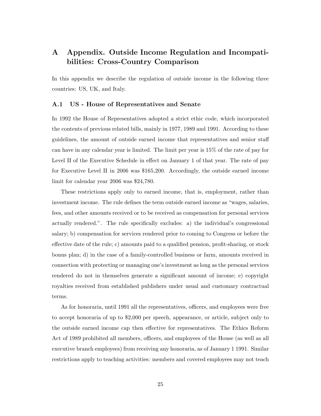## **A Appendix. Outside Income Regulation and Incompatibilities: Cross-Country Comparison**

In this appendix we describe the regulation of outside income in the following three countries: US, UK, and Italy.

#### **A.1 US - House of Representatives and Senate**

In 1992 the House of Representatives adopted a strict ethic code, which incorporated the contents of previous related bills, mainly in 1977, 1989 and 1991. According to these guidelines, the amount of outside earned income that representatives and senior staff can have in any calendar year is limited. The limit per year is 15% of the rate of pay for Level II of the Executive Schedule in effect on January 1 of that year. The rate of pay for Executive Level II in 2006 was \$165,200. Accordingly, the outside earned income limit for calendar year 2006 was \$24,780.

These restrictions apply only to earned income, that is, employment, rather than investment income. The rule defines the term outside earned income as "wages, salaries, fees, and other amounts received or to be received as compensation for personal services actually rendered.". The rule specifically excludes: a) the individual's congressional salary; b) compensation for services rendered prior to coming to Congress or before the effective date of the rule; c) amounts paid to a qualified pension, profit-sharing, or stock bonus plan; d) in the case of a family-controlled business or farm, amounts received in connection with protecting or managing one's investment as long as the personal services rendered do not in themselves generate a significant amount of income; e) copyright royalties received from established publishers under usual and customary contractual terms.

As for honoraria, until 1991 all the representatives, officers, and employees were free to accept honoraria of up to \$2,000 per speech, appearance, or article, subject only to the outside earned income cap then effective for representatives. The Ethics Reform Act of 1989 prohibited all members, officers, and employees of the House (as well as all executive branch employees) from receiving any honoraria, as of January 1 1991. Similar restrictions apply to teaching activities: members and covered employees may not teach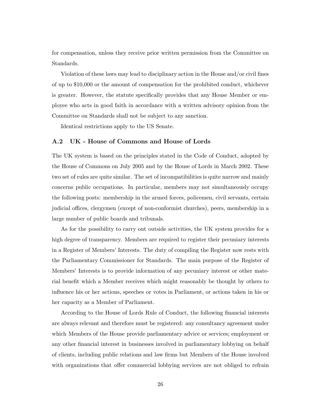for compensation, unless they receive prior written permission from the Committee on Standards.

Violation of these laws may lead to disciplinary action in the House and/or civil fines of up to \$10,000 or the amount of compensation for the prohibited conduct, whichever is greater. However, the statute specifically provides that any House Member or employee who acts in good faith in accordance with a written advisory opinion from the Committee on Standards shall not be subject to any sanction.

Identical restrictions apply to the US Senate.

#### **A.2 UK - House of Commons and House of Lords**

The UK system is based on the principles stated in the Code of Conduct, adopted by the House of Commons on July 2005 and by the House of Lords in March 2002. These two set of rules are quite similar. The set of incompatibilities is quite narrow and mainly concerns public occupations. In particular, members may not simultaneously occupy the following posts: membership in the armed forces, policemen, civil servants, certain judicial offices, clergymen (except of non-conformist churches), peers, membership in a large number of public boards and tribunals.

As for the possibility to carry out outside activities, the UK system provides for a high degree of transparency. Members are required to register their pecuniary interests in a Register of Members' Interests. The duty of compiling the Register now rests with the Parliamentary Commissioner for Standards. The main purpose of the Register of Members' Interests is to provide information of any pecuniary interest or other material benefit which a Member receives which might reasonably be thought by others to influence his or her actions, speeches or votes in Parliament, or actions taken in his or her capacity as a Member of Parliament.

According to the House of Lords Rule of Conduct, the following financial interests are always relevant and therefore must be registered: any consultancy agreement under which Members of the House provide parliamentary advice or services; employment or any other financial interest in businesses involved in parliamentary lobbying on behalf of clients, including public relations and law firms but Members of the House involved with organizations that offer commercial lobbying services are not obliged to refrain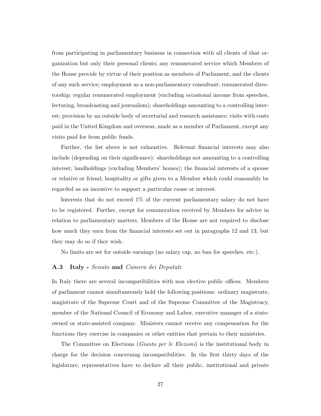from participating in parliamentary business in connection with all clients of that organization but only their personal clients; any remunerated service which Members of the House provide by virtue of their position as members of Parliament, and the clients of any such service; employment as a non-parliamentary consultant; remunerated directorship; regular remunerated employment (excluding occasional income from speeches, lecturing, broadcasting and journalism); shareholdings amounting to a controlling interest; provision by an outside body of secretarial and research assistance; visits with costs paid in the United Kingdom and overseas, made as a member of Parliament, except any visits paid for from public funds.

Further, the list above is not exhaustive. Relevant financial interests may also include (depending on their significance): shareholdings not amounting to a controlling interest; landholdings (excluding Members' homes); the financial interests of a spouse or relative or friend; hospitality or gifts given to a Member which could reasonably be regarded as an incentive to support a particular cause or interest.

Interests that do not exceed 1% of the current parliamentary salary do not have to be registered. Further, except for remuneration received by Members for advice in relation to parliamentary matters, Members of the House are not required to disclose how much they earn from the financial interests set out in paragraphs 12 and 13, but they may do so if they wish.

No limits are set for outside earnings (no salary cap, no ban for speeches, etc.).

#### **A.3 Italy -** *Senato* **and** *Camera dei Deputati*

In Italy there are several incompatibilities with non elective public offices. Members of parliament cannot simultaneously hold the following positions: ordinary magistrate, magistrate of the Supreme Court and of the Supreme Committee of the Magistracy, member of the National Council of Economy and Labor, executive manager of a stateowned or state-assisted company. Ministers cannot receive any compensation for the functions they exercise in companies or other entities that pertain to their ministries.

The Committee on Elections (*Giunta per le Elezioni*) is the institutional body in charge for the decision concerning incompatibilities. In the first thirty days of the legislature, representatives have to declare all their public, institutional and private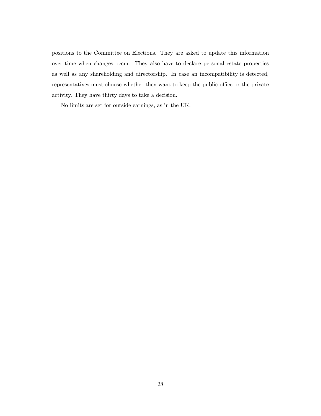positions to the Committee on Elections. They are asked to update this information over time when changes occur. They also have to declare personal estate properties as well as any shareholding and directorship. In case an incompatibility is detected, representatives must choose whether they want to keep the public office or the private activity. They have thirty days to take a decision.

No limits are set for outside earnings, as in the UK.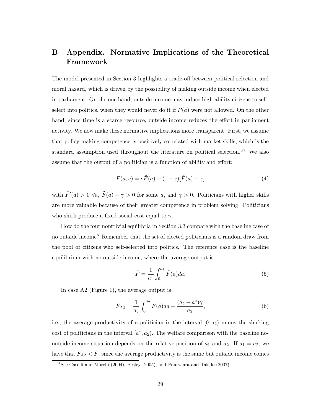## **B Appendix. Normative Implications of the Theoretical Framework**

The model presented in Section 3 highlights a trade-off between political selection and moral hazard, which is driven by the possibility of making outside income when elected in parliament. On the one hand, outside income may induce high-ability citizens to selfselect into politics, when they would never do it if  $P(a)$  were not allowed. On the other hand, since time is a scarce resource, outside income reduces the effort in parliament activity. We now make these normative implications more transparent. First, we assume that policy-making competence is positively correlated with market skills, which is the standard assumption used throughout the literature on political selection.<sup>34</sup> We also assume that the output of a politician is a function of ability and effort:

$$
F(a,e) = e\tilde{F}(a) + (1 - e)[\tilde{F}(a) - \gamma]
$$
\n(4)

with  $\tilde{F}'(a) > 0 \ \forall a, \ \tilde{F}(a) - \gamma > 0$  for some a, and  $\gamma > 0$ . Politicians with higher skills are more valuable because of their greater competence in problem solving. Politicians who shirk produce a fixed social cost equal to  $\gamma$ .

How do the four nontrivial equilibria in Section 3.3 compare with the baseline case of no outside income? Remember that the set of elected politicians is a random draw from the pool of citizens who self-selected into politics. The reference case is the baseline equilibrium with no-outside-income, where the average output is

$$
\bar{F} = \frac{1}{a_1} \int_0^{a_1} \tilde{F}(a) da.
$$
 (5)

In case A2 (Figure 1), the average output is

$$
\bar{F}_{A2} = \frac{1}{a_2} \int_0^{a_2} \tilde{F}(a)da - \frac{(a_2 - a^*)\gamma}{a_2},\tag{6}
$$

i.e., the average productivity of a politician in the interval  $[0, a_2)$  minus the shirking cost of politicians in the interval  $[a^*, a_2]$ . The welfare comparison with the baseline nooutside-income situation depends on the relative position of  $a_1$  and  $a_2$ . If  $a_1 = a_2$ , we have that  $\bar{F}_{A2} < \bar{F}$ , since the average productivity is the same but outside income comes

<sup>34</sup>See Caselli and Morelli (2004), Besley (2005), and Poutvaara and Takalo (2007).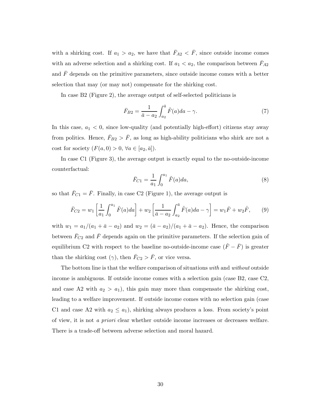with a shirking cost. If  $a_1 > a_2$ , we have that  $\bar{F}_{A2} < \bar{F}$ , since outside income comes with an adverse selection and a shirking cost. If  $a_1 < a_2$ , the comparison between  $\bar{F}_{A2}$ and  $\bar{F}$  depends on the primitive parameters, since outside income comes with a better selection that may (or may not) compensate for the shirking cost.

In case B2 (Figure 2), the average output of self-selected politicians is

$$
\bar{F}_{B2} = \frac{1}{\bar{a} - a_2} \int_{a_2}^{\bar{a}} \tilde{F}(a) da - \gamma.
$$
 (7)

In this case,  $a_1 < 0$ , since low-quality (and potentially high-effort) citizens stay away from politics. Hence,  $\bar{F}_{B2} > \bar{F}$ , as long as high-ability politicians who shirk are not a cost for society  $(F(a, 0) > 0, \forall a \in [a_2, \bar{a}]).$ 

In case C1 (Figure 3), the average output is exactly equal to the no-outside-income counterfactual:

$$
\bar{F}_{C1} = \frac{1}{a_1} \int_0^{a_1} \tilde{F}(a) da,\tag{8}
$$

so that  $\bar{F}_{C1} = \bar{F}$ . Finally, in case C2 (Figure 1), the average output is

$$
\bar{F}_{C2} = w_1 \left[ \frac{1}{a_1} \int_0^{a_1} \tilde{F}(a) da \right] + w_2 \left[ \frac{1}{\bar{a} - a_2} \int_{a_2}^{\bar{a}} \tilde{F}(a) da - \gamma \right] = w_1 \bar{F} + w_2 \hat{F}, \qquad (9)
$$

with  $w_1 = a_1/(a_1 + \bar{a} - a_2)$  and  $w_2 = (\bar{a} - a_2)/(a_1 + \bar{a} - a_2)$ . Hence, the comparison between  $\bar{F}_{C2}$  and  $\bar{F}$  depends again on the primitive parameters. If the selection gain of equilibrium C2 with respect to the baseline no-outside-income case  $(\hat{F} - \bar{F})$  is greater than the shirking cost  $(\gamma)$ , then  $\bar{F}_{C2} > \bar{F}$ , or vice versa.

The bottom line is that the welfare comparison of situations *with* and *without* outside income is ambiguous. If outside income comes with a selection gain (case B2, case C2, and case A2 with  $a_2 > a_1$ , this gain may more than compensate the shirking cost, leading to a welfare improvement. If outside income comes with no selection gain (case C1 and case A2 with  $a_2 \le a_1$ , shirking always produces a loss. From society's point of view, it is not *a priori* clear whether outside income increases or decreases welfare. There is a trade-off between adverse selection and moral hazard.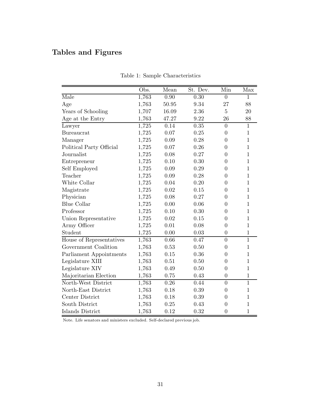# **Tables and Figures**

|                          | Obs.  | Mean              | St. Dev. | Min            | Max            |
|--------------------------|-------|-------------------|----------|----------------|----------------|
| Male                     | 1,763 | $\overline{0.90}$ | 0.30     | $\overline{0}$ | 1              |
| Age                      | 1,763 | 50.95             | 9.34     | 27             | 88             |
| Years of Schooling       | 1,707 | 16.09             | 2.36     | 5              | 20             |
| Age at the Entry         | 1,763 | 47.27             | 9.22     | 26             | 88             |
| Lawyer                   | 1,725 | 0.14              | 0.35     | $\overline{0}$ | $\mathbf{1}$   |
| <b>Bureaucrat</b>        | 1,725 | 0.07              | 0.25     | $\overline{0}$ | 1              |
| Manager                  | 1,725 | 0.09              | 0.28     | $\overline{0}$ | $\mathbf{1}$   |
| Political Party Official | 1,725 | 0.07              | 0.26     | $\overline{0}$ | $\mathbf{1}$   |
| Journalist               | 1,725 | 0.08              | 0.27     | $\overline{0}$ | $\mathbf{1}$   |
| Entrepreneur             | 1,725 | 0.10              | 0.30     | $\overline{0}$ | $\mathbf{1}$   |
| Self Employed            | 1,725 | 0.09              | 0.29     | $\overline{0}$ | $\mathbf 1$    |
| Teacher                  | 1,725 | 0.09              | 0.28     | $\overline{0}$ | $\mathbf{1}$   |
| White Collar             | 1,725 | 0.04              | 0.20     | $\overline{0}$ | $\mathbf{1}$   |
| Magistrate               | 1,725 | 0.02              | 0.15     | $\overline{0}$ | $\mathbf{1}$   |
| Physician                | 1,725 | 0.08              | 0.27     | 0              | $\mathbf{1}$   |
| <b>Blue Collar</b>       | 1,725 | 0.00              | 0.06     | $\theta$       | $\mathbf{1}$   |
| Professor                | 1,725 | 0.10              | 0.30     | $\overline{0}$ | $\mathbf{1}$   |
| Union Representative     | 1,725 | 0.02              | 0.15     | $\overline{0}$ | $\mathbf{1}$   |
| Army Officer             | 1,725 | 0.01              | 0.08     | $\overline{0}$ | 1              |
| Student                  | 1,725 | 0.00              | 0.03     | $\overline{0}$ | $\mathbf{1}$   |
| House of Representatives | 1,763 | 0.66              | 0.47     | $\overline{0}$ | $\mathbf{1}$   |
| Government Coalition     | 1,763 | $0.53\,$          | 0.50     | $\overline{0}$ | $\mathbf{1}$   |
| Parliament Appointments  | 1,763 | 0.15              | 0.36     | $\overline{0}$ | $\mathbf{1}$   |
| Legislature XIII         | 1,763 | 0.51              | 0.50     | $\theta$       | 1              |
| Legislature XIV          | 1,763 | 0.49              | 0.50     | $\overline{0}$ | $\mathbf{1}$   |
| Majoritarian Election    | 1,763 | 0.75              | 0.43     | $\overline{0}$ | $\mathbf{1}$   |
| North-West District      | 1,763 | 0.26              | 0.44     | $\overline{0}$ | $\overline{1}$ |
| North-East District      | 1,763 | 0.18              | 0.39     | $\overline{0}$ | $\mathbf{1}$   |
| Center District          | 1,763 | 0.18              | 0.39     | $\theta$       | $\mathbf{1}$   |
| South District           | 1,763 | 0.25              | 0.43     | $\overline{0}$ | $\mathbf 1$    |
| Islands District         | 1,763 | 0.12              | 0.32     | $\overline{0}$ | $\mathbf{1}$   |

Table 1: Sample Characteristics

Note. Life senators and ministers excluded. Self-declared previous job.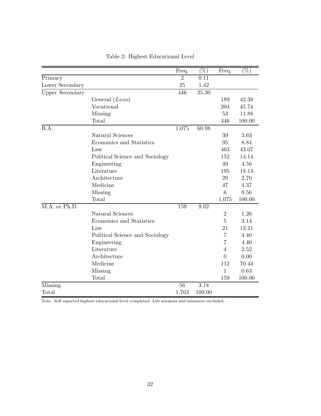|                        |                                 | Freq.           | $(\%)$            | Freq.           | $(\%)$ |
|------------------------|---------------------------------|-----------------|-------------------|-----------------|--------|
| Primary                |                                 | $\overline{2}$  | 0.11              |                 |        |
| Lower Secondary        |                                 | 25              | 1.42              |                 |        |
| <b>Upper Secondary</b> |                                 | 446             | $25.30\,$         |                 |        |
|                        | General (Liceo)                 |                 |                   | 189             | 42.38  |
|                        | Vocational                      |                 |                   | 204             | 45.74  |
|                        | Missing                         |                 |                   | 53              | 11.88  |
|                        | Total                           |                 |                   | 446             | 100.00 |
| B.A.                   |                                 | 1,075           | 60.98             |                 |        |
|                        | Natural Sciences                |                 |                   | 39              | 3.63   |
|                        | Economics and Statistics        |                 |                   | 95              | 8.84   |
|                        | Law                             |                 |                   | 463             | 43.07  |
|                        | Political Science and Sociology |                 |                   | 152             | 14.14  |
|                        | Engineering                     |                 |                   | 49              | 4.56   |
|                        | Literature                      |                 |                   | 195             | 18.14  |
|                        | Architecture                    |                 |                   | 29              | 2.70   |
|                        | Medicine                        |                 |                   | 47              | 4.37   |
|                        | Missing                         |                 |                   | $6\phantom{.}6$ | 0.56   |
|                        | Total                           |                 |                   | 1,075           | 100.00 |
| M.A. or Ph.D.          |                                 | 159             | 9.02              |                 |        |
|                        | Natural Sciences                |                 |                   | $\overline{2}$  | 1.26   |
|                        | Economics and Statistics        |                 |                   | $\overline{5}$  | 3.14   |
|                        | Law                             |                 |                   | 21              | 13.21  |
|                        | Political Science and Sociology |                 |                   | 7               | 4.40   |
|                        | Engineering                     |                 |                   | 7               | 4.40   |
|                        | Literature                      |                 |                   | $\overline{4}$  | 2.52   |
|                        | Architecture                    |                 |                   | $\overline{0}$  | 0.00   |
|                        | Medicine                        |                 |                   | 112             | 70.44  |
|                        | Missing                         |                 |                   | $\mathbf{1}$    | 0.63   |
|                        | Total                           |                 |                   | 159             | 100.00 |
| Missing                |                                 | $\overline{5}6$ | $\overline{3.18}$ |                 |        |
| Total                  |                                 | 1,763           | 100.00            |                 |        |

### Table 2: Highest Educational Level

Note. Self reported highest educational level completed. Life senators and ministers excluded.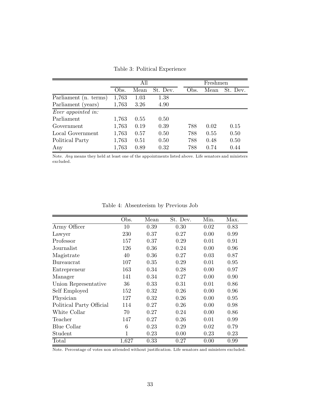Table 3: Political Experience

|                           | All   |      |          |  | Freshmen |      |          |  |
|---------------------------|-------|------|----------|--|----------|------|----------|--|
|                           | Obs.  | Mean | St. Dev. |  | Obs.     | Mean | St. Dev. |  |
| Parliament (n. terms)     | 1,763 | 1.03 | 1.38     |  |          |      |          |  |
| Parliament (years)        | 1,763 | 3.26 | 4.90     |  |          |      |          |  |
| <i>Ever</i> appointed in: |       |      |          |  |          |      |          |  |
| Parliament                | 1,763 | 0.55 | 0.50     |  |          |      |          |  |
| Government                | 1,763 | 0.19 | 0.39     |  | 788      | 0.02 | 0.15     |  |
| Local Government          | 1,763 | 0.57 | 0.50     |  | 788      | 0.55 | 0.50     |  |
| Political Party           | 1,763 | 0.51 | 0.50     |  | 788      | 0.48 | 0.50     |  |
| Any                       | 1,763 | 0.89 | 0.32     |  | 788      | 0.74 | 0.44     |  |

Note. *Any* means they held at least one of the appointments listed above. Life senators and ministers excluded.

Table 4: Absenteeism by Previous Job

|                          | Obs.         | Mean | St. Dev. | Min. | Max. |
|--------------------------|--------------|------|----------|------|------|
| Army Officer             | 10           | 0.39 | 0.30     | 0.02 | 0.83 |
| Lawyer                   | 230          | 0.37 | 0.27     | 0.00 | 0.99 |
| Professor                | 157          | 0.37 | 0.29     | 0.01 | 0.91 |
| Journalist               | 126          | 0.36 | 0.24     | 0.00 | 0.96 |
| Magistrate               | 40           | 0.36 | 0.27     | 0.03 | 0.87 |
| Bureaucrat               | 107          | 0.35 | 0.29     | 0.01 | 0.95 |
| Entrepreneur             | 163          | 0.34 | 0.28     | 0.00 | 0.97 |
| Manager                  | 141          | 0.34 | 0.27     | 0.00 | 0.90 |
| Union Representative     | 36           | 0.33 | 0.31     | 0.01 | 0.86 |
| Self Employed            | 152          | 0.32 | 0.26     | 0.00 | 0.96 |
| Physician                | 127          | 0.32 | 0.26     | 0.00 | 0.95 |
| Political Party Official | 114          | 0.27 | 0.26     | 0.00 | 0.98 |
| White Collar             | 70           | 0.27 | 0.24     | 0.00 | 0.86 |
| Teacher                  | 147          | 0.27 | 0.26     | 0.01 | 0.99 |
| <b>Blue Collar</b>       | 6            | 0.23 | 0.29     | 0.02 | 0.79 |
| Student                  | $\mathbf{1}$ | 0.23 | 0.00     | 0.23 | 0.23 |
| Total                    | 1,627        | 0.33 | 0.27     | 0.00 | 0.99 |

Note. Percentage of votes non attended without justification. Life senators and ministers excluded.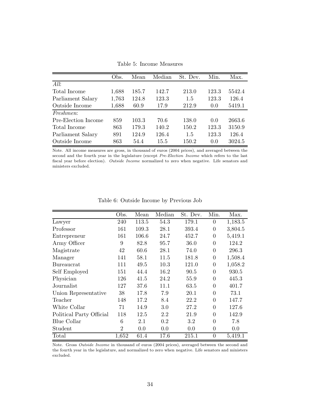Table 5: Income Measures

|                     | Obs.  | Mean  | Median | St. Dev. | Min.  | Max.   |
|---------------------|-------|-------|--------|----------|-------|--------|
| All:                |       |       |        |          |       |        |
| Total Income        | 1,688 | 185.7 | 142.7  | 213.0    | 123.3 | 5542.4 |
| Parliament Salary   | 1,763 | 124.8 | 123.3  | 1.5      | 123.3 | 126.4  |
| Outside Income      | 1,688 | 60.9  | 17.9   | 212.9    | 0.0   | 5419.1 |
| <i>Freshmen:</i>    |       |       |        |          |       |        |
| Pre-Election Income | 859   | 103.3 | 70.6   | 138.0    | 0.0   | 2663.6 |
| Total Income        | 863   | 179.3 | 140.2  | 150.2    | 123.3 | 3150.9 |
| Parliament Salary   | 891   | 124.9 | 126.4  | 1.5      | 123.3 | 126.4  |
| Outside Income      | 863   | 54.4  | 15.5   | 150.2    | 0.0   | 3024.5 |

Note. All income measures are gross, in thousand of euros (2004 prices), and averaged between the second and the fourth year in the legislature (except *Pre-Election Income* which refers to the last fiscal year before election). *Outside Income* normalized to zero when negative. Life senators and ministers excluded.

|                          | Obs.           | Mean  | Median  | St. Dev.  | Min.           | Max.    |
|--------------------------|----------------|-------|---------|-----------|----------------|---------|
| Lawyer                   | 240            | 113.5 | 54.3    | 179.1     | $\theta$       | 1,183.5 |
| Professor                | 161            | 109.3 | 28.1    | 393.4     | $\overline{0}$ | 3,804.5 |
| Entrepreneur             | 161            | 106.6 | 24.7    | 452.7     | $\overline{0}$ | 5,419.1 |
| Army Officer             | 9              | 82.8  | 95.7    | 36.0      | $\overline{0}$ | 124.2   |
| Magistrate               | 42             | 60.6  | 28.1    | 74.0      | $\overline{0}$ | 296.3   |
| Manager                  | 141            | 58.1  | 11.5    | 181.8     | $\overline{0}$ | 1,508.4 |
| Bureaucrat               | 111            | 49.5  | 10.3    | 121.0     | $\overline{0}$ | 1,058.2 |
| Self Employed            | 151            | 44.4  | 16.2    | 90.5      | $\overline{0}$ | 930.5   |
| Physician                | 126            | 41.5  | 24.2    | 55.9      | $\overline{0}$ | 445.3   |
| Journalist               | 127            | 37.6  | 11.1    | 63.5      | $\overline{0}$ | 401.7   |
| Union Representative     | 38             | 17.8  | 7.9     | 20.1      | $\theta$       | 73.1    |
| Teacher                  | 148            | 17.2  | 8.4     | 22.2      | $\theta$       | 147.7   |
| White Collar             | 71             | 14.9  | $3.0\,$ | 27.2      | $\theta$       | 127.6   |
| Political Party Official | 118            | 12.5  | 2.2     | 21.9      | $\theta$       | 142.9   |
| Blue Collar              | 6              | 2.1   | 0.2     | 3.2       | $\Omega$       | 7.8     |
| Student                  | $\mathfrak{2}$ | 0.0   | 0.0     | 0.0       | $\overline{0}$ | 0.0     |
| Total                    | 1,652          | 61.4  | 17.6    | $215.1\,$ | $\overline{0}$ | 5,419.1 |

Table 6: Outside Income by Previous Job

Note. Gross *Outside Income* in thousand of euros (2004 prices), averaged between the second and the fourth year in the legislature, and normalized to zero when negative. Life senators and ministers excluded.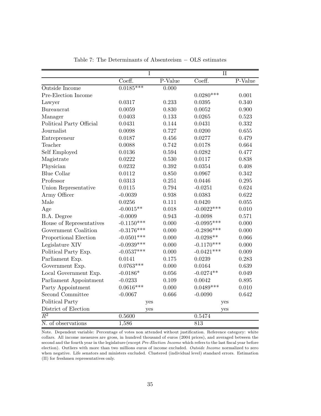|                          | $\rm I$      |         | $\mathbf{II}$ |         |
|--------------------------|--------------|---------|---------------|---------|
|                          | Coeff.       | P-Value | Coeff.        | P-Value |
| Outside Income           | $0.0185***$  | 0.000   |               |         |
| Pre-Election Income      |              |         | $0.0280***$   | 0.001   |
| Lawyer                   | 0.0317       | 0.233   | 0.0395        | 0.340   |
| Bureaucrat               | 0.0059       | 0.830   | 0.0052        | 0.900   |
| Manager                  | 0.0403       | 0.133   | 0.0265        | 0.523   |
| Political Party Official | 0.0431       | 0.144   | 0.0431        | 0.332   |
| Journalist               | 0.0098       | 0.727   | 0.0200        | 0.655   |
| Entrepreneur             | 0.0187       | 0.456   | 0.0277        | 0.479   |
| Teacher                  | 0.0088       | 0.742   | 0.0178        | 0.664   |
| Self Employed            | 0.0136       | 0.594   | 0.0282        | 0.477   |
| Magistrate               | 0.0222       | 0.530   | 0.0117        | 0.838   |
| Physician                | 0.0232       | 0.392   | 0.0354        | 0.408   |
| <b>Blue Collar</b>       | 0.0112       | 0.850   | 0.0967        | 0.342   |
| Professor                | 0.0313       | 0.251   | 0.0446        | 0.295   |
| Union Representative     | 0.0115       | 0.794   | $-0.0251$     | 0.624   |
| Army Officer             | $-0.0039$    | 0.938   | 0.0383        | 0.622   |
| Male                     | 0.0256       | 0.111   | 0.0420        | 0.055   |
| Age                      | $-0.0015**$  | 0.018   | $-0.0022***$  | 0.010   |
| B.A. Degree              | $-0.0009$    | 0.943   | $-0.0098$     | 0.571   |
| House of Representatives | $-0.1150***$ | 0.000   | $-0.0995***$  | 0.000   |
| Government Coalition     | $-0.3176***$ | 0.000   | $-0.2896***$  | 0.000   |
| Proportional Election    | $-0.0501***$ | 0.000   | $-0.0298**$   | 0.066   |
| Legislature XIV          | $-0.0939***$ | 0.000   | $-0.1170***$  | 0.000   |
| Political Party Exp.     | $-0.0537***$ | 0.000   | $-0.0421***$  | 0.009   |
| Parliament Exp.          | 0.0141       | 0.175   | 0.0239        | 0.283   |
| Government Exp.          | $0.0763***$  | 0.000   | 0.0164        | 0.639   |
| Local Government Exp.    | $-0.0186*$   | 0.056   | $-0.0274**$   | 0.049   |
| Parliament Appointment   | $-0.0233$    | 0.109   | 0.0042        | 0.895   |
| Party Appointment        | $0.0616***$  | 0.000   | $0.0489***$   | 0.010   |
| Second Committee         | $-0.0067$    | 0.666   | $-0.0090$     | 0.642   |
| Political Party          | yes          |         | yes           |         |
| District of Election     | yes          |         | yes           |         |
| $\overline{R^2}$         | 0.5600       |         | 0.5474        |         |
| N. of observations       | 1,586        |         | 813           |         |

Table 7: The Determinants of Absenteeism − OLS estimates

Note. Dependent variable: Percentage of votes non attended without justification. Reference category: white collars. All income measures are gross, in hundred thousand of euros (2004 prices), and averaged between the second and the fourth year in the legislature (except *Pre-Election Income* which refers to the last fiscal year before election). Outliers with more than two millions euros of income excluded. *Outside Income* normalized to zero when negative. Life senators and ministers excluded. Clustered (individual level) standard errors. Estimation (II) for freshmen representatives only.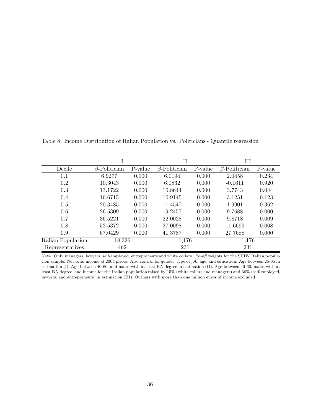|                    |                     |         | п                   |         | Ш                   |         |
|--------------------|---------------------|---------|---------------------|---------|---------------------|---------|
| Decile             | $\beta$ -Politician | P-value | $\beta$ -Politician | P-value | $\beta$ -Politician | P-value |
| 0.1                | 6.9277              | 0.000   | 6.0194              | 0.000   | 2.0458              | 0.234   |
| 0.2                | 10.3043             | 0.000   | 6.0832              | 0.000   | $-0.1611$           | 0.920   |
| 0.3                | 13.1722             | 0.000   | 10.8644             | 0.000   | 3.7743              | 0.044   |
| 0.4                | 16.6715             | 0.000   | 10.9145             | 0.000   | 3.1251              | 0.123   |
| 0.5                | 20.3485             | 0.000   | 11.4547             | 0.000   | 1.9901              | 0.362   |
| 0.6                | 26.5309             | 0.000   | 19.2457             | 0.000   | 9.7688              | 0.000   |
| 0.7                | 36.5221             | 0.000   | 22.0028             | 0.000   | 9.8718              | 0.009   |
| 0.8                | 52.5372             | 0.000   | 27.0098             | 0.000   | 11.6699             | 0.008   |
| 0.9                | 67.0429             | 0.000   | 41.3787             | 0.000   | 27.7688             | 0.000   |
| Italian Population | 18,326              |         | 1,176               |         | 1,176               |         |
| Representatives    | 462                 |         | 231                 |         | 231                 |         |

Table 8: Income Distribution of Italian Population vs. Politicians - Quantile regression

Note. Only managers, lawyers, self-employed, entrepreneurs and white collars. *Pesofl* weights for the SHIW Italian population sample. Net total income at 2004 prices. Also control for gender, type of job, age, and education. Age between 25-65 in estimation (I). Age between 40-60, and males with at least BA degree in estimation (II). Age between 40-60, males with at least BA degree, and income for the Italian population raised by 15% (white collars and managers) and 30% (self-employed, lawyers, and entrepreneurs) in estimation (III). Outliers with more than one million euros of income excluded.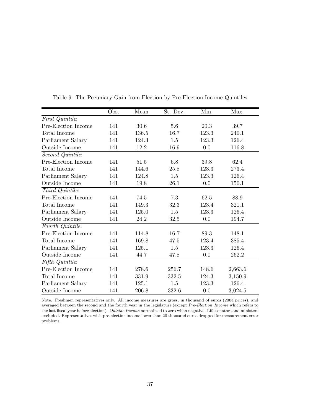|                               | Obs. | Mean  | St. Dev. | Min.  | Max.    |
|-------------------------------|------|-------|----------|-------|---------|
| First Quintile:               |      |       |          |       |         |
| Pre-Election Income           | 141  | 30.6  | 5.6      | 20.3  | 39.7    |
| Total Income                  | 141  | 136.5 | 16.7     | 123.3 | 240.1   |
| Parliament Salary             | 141  | 124.3 | 1.5      | 123.3 | 126.4   |
| Outside Income                | 141  | 12.2  | 16.9     | 0.0   | 116.8   |
| Second Quintile:              |      |       |          |       |         |
| Pre-Election Income           | 141  | 51.5  | 6.8      | 39.8  | 62.4    |
| Total Income                  | 141  | 144.6 | 25.8     | 123.3 | 273.4   |
| Parliament Salary             | 141  | 124.8 | 1.5      | 123.3 | 126.4   |
| Outside Income                | 141  | 19.8  | 26.1     | 0.0   | 150.1   |
| Third Quintile:               |      |       |          |       |         |
| Pre-Election Income           | 141  | 74.5  | 7.3      | 62.5  | 88.9    |
| Total Income                  | 141  | 149.3 | 32.3     | 123.4 | 321.1   |
| Parliament Salary             | 141  | 125.0 | 1.5      | 123.3 | 126.4   |
| Outside Income                | 141  | 24.2  | 32.5     | 0.0   | 194.7   |
| Fourth Quintile:              |      |       |          |       |         |
| Pre-Election Income           | 141  | 114.8 | 16.7     | 89.3  | 148.1   |
| Total Income                  | 141  | 169.8 | 47.5     | 123.4 | 385.4   |
| Parliament Salary             | 141  | 125.1 | 1.5      | 123.3 | 126.4   |
| Outside Income                | 141  | 44.7  | 47.8     | 0.0   | 262.2   |
| $\overline{Fifth\;Quintile:}$ |      |       |          |       |         |
| Pre-Election Income           | 141  | 278.6 | 256.7    | 148.6 | 2,663.6 |
| Total Income                  | 141  | 331.9 | 332.5    | 124.3 | 3,150.9 |
| Parliament Salary             | 141  | 125.1 | 1.5      | 123.3 | 126.4   |
| Outside Income                | 141  | 206.8 | 332.6    | 0.0   | 3,024.5 |

Table 9: The Pecuniary Gain from Election by Pre-Election Income Quintiles

Note. Freshmen representatives only. All income measures are gross, in thousand of euros (2004 prices), and averaged between the second and the fourth year in the legislature (except *Pre-Election Income* which refers to the last fiscal year before election). *Outside Income* normalized to zero when negative. Life senators and ministers excluded. Representatives with pre-election income lower than 20 thousand euros dropped for measurement error problems.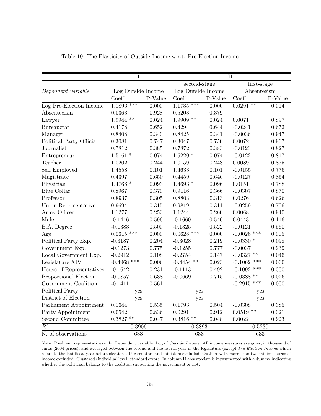|                          | Ι                      |         | II               |                    |               |             |  |
|--------------------------|------------------------|---------|------------------|--------------------|---------------|-------------|--|
|                          |                        |         | second-stage     |                    |               | first-stage |  |
| Dependent variable       | Log Outside Income     |         |                  | Log Outside Income |               | Absenteeism |  |
|                          | Coeff.                 | P-Value | Coeff.           | P-Value            | Coeff.        | P-Value     |  |
| Log Pre-Election Income  | $1.\overline{1896***}$ | 0.000   | $1.1735***$      | 0.000              | $0.0291$ **   | 0.014       |  |
| Absenteeism              | 0.0363                 | 0.928   | 0.5203           | 0.379              |               |             |  |
| Lawyer                   | $1.9944$ **            | 0.024   | $1.9909$ **      | 0.024              | 0.0071        | 0.897       |  |
| Bureaucrat               | 0.4178                 | 0.652   | 0.4294           | 0.644              | $-0.0241$     | 0.672       |  |
| Manager                  | 0.8408                 | 0.340   | 0.8425           | 0.341              | $-0.0036$     | 0.947       |  |
| Political Party Official | 0.3081                 | 0.747   | 0.3047           | 0.750              | 0.0072        | 0.907       |  |
| Journalist               | 0.7812                 | 0.385   | 0.7872           | 0.383              | $-0.0123$     | 0.827       |  |
| Entrepreneur             | $1.5161$ *             | 0.074   | $1.5220*$        | 0.074              | $-0.0122$     | 0.817       |  |
| Teacher                  | 1.0202                 | 0.244   | 1.0159           | 0.248              | 0.0089        | 0.875       |  |
| Self Employed            | 1.4558                 | 0.101   | 1.4633           | 0.101              | $-0.0155$     | 0.776       |  |
| Magistrate               | 0.4397                 | 0.650   | 0.4459           | 0.646              | $-0.0127$     | 0.854       |  |
| Physician                | $1.4766*$              | 0.093   | $1.4693*$        | 0.096              | 0.0151        | 0.788       |  |
| <b>Blue Collar</b>       | 0.8967                 | 0.370   | 0.9116           | 0.366              | $-0.0307$     | 0.870       |  |
| Professor                | 0.8937                 | 0.305   | 0.8803           | 0.313              | 0.0276        | 0.626       |  |
| Union Representative     | 0.9694                 | 0.315   | 0.9819           | 0.311              | $-0.0259$     | 0.706       |  |
| Army Officer             | 1.1277                 | 0.253   | 1.1244           | 0.260              | 0.0068        | 0.940       |  |
| Male                     | $-0.1446$              | 0.596   | $-0.1660$        | 0.546              | 0.0443        | 0.116       |  |
| B.A. Degree              | $-0.1383$              | 0.500   | $-0.1325$        | 0.522              | $-0.0121$     | 0.560       |  |
| Age                      | $0.0615$ ***           | 0.000   | $0.0628$ ***     | 0.000              | $-0.0026$ *** | 0.005       |  |
| Political Party Exp.     | $-0.3187$              | 0.204   | $-0.3028$        | 0.219              | $-0.0330*$    | 0.098       |  |
| Government Exp.          | $-0.1273$              | 0.775   | $-0.1255$        | 0.777              | $-0.0037$     | 0.939       |  |
| Local Government Exp.    | $-0.2912$              | 0.108   | $-0.2754$        | 0.147              | $-0.0327$ **  | 0.046       |  |
| Legislature XIV          | $-0.4968$ ***          | 0.006   | $-0.4454$ **     | 0.023              | $-0.1062$ *** | 0.000       |  |
| House of Representatives | $-0.1642$              | 0.231   | $-0.1113$        | 0.492              | $-0.1092$ *** | 0.000       |  |
| Proportional Election    | $-0.0857$              | 0.638   | $-0.0669$        | 0.715              | $-0.0388**$   | 0.026       |  |
| Government Coalition     | $-0.1411$              | 0.561   |                  |                    | $-0.2915$ *** | 0.000       |  |
| Political Party          | yes                    |         | yes              |                    | yes           |             |  |
| District of Election     | yes                    |         | yes              |                    | yes           |             |  |
| Parliament Appointment   | 0.1644                 | 0.535   | 0.1793           | 0.504              | $-0.0308$     | 0.385       |  |
| Party Appointment        | 0.0542                 | 0.836   | 0.0291           | 0.912              | $0.0519**$    | 0.021       |  |
| Second Committee         | $0.3827**$             | 0.047   | $0.3816**$       | 0.048              | 0.0022        | 0.923       |  |
| $\overline{R^2}$         | 0.3906                 |         | 0.3893           |                    | 0.5230        |             |  |
| N. of observations       | $\overline{633}$       |         | $\overline{633}$ |                    | 633           |             |  |

Table 10: The Elasticity of Outside Income w.r.t. Pre-Election Income

Note. Freshmen representatives only. Dependent variable: Log of *Outside Income*. All income measures are gross, in thousand of euros (2004 prices), and averaged between the second and the fourth year in the legislature (except *Pre-Election Income* which refers to the last fiscal year before election). Life senators and ministers excluded. Outliers with more than two millions euros of income excluded. Clustered (individual level) standard errors. In column II absenteeism is instrumented with a dummy indicating whether the politician belongs to the coalition supporting the government or not.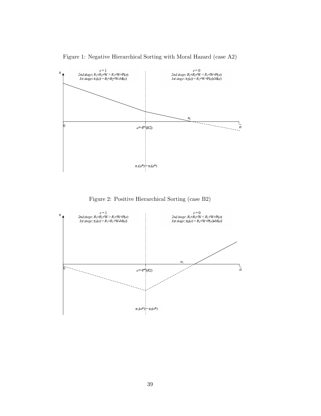

Figure 1: Negative Hierarchical Sorting with Moral Hazard (case A2)

Figure 2: Positive Hierarchical Sorting (case B2)

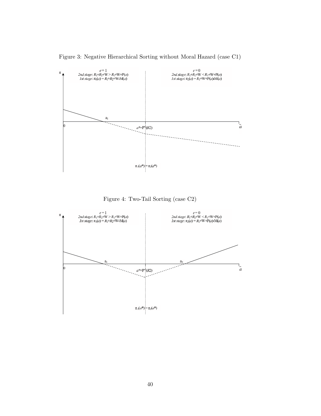



Figure 4: Two-Tail Sorting (case C2)

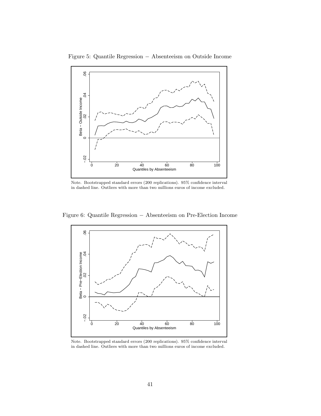

Figure 5: Quantile Regression − Absenteeism on Outside Income

Note. Bootstrapped standard errors (200 replications). 95% confidence interval in dashed line. Outliers with more than two millions euros of income excluded.

Figure 6: Quantile Regression − Absenteeism on Pre-Election Income



Note. Bootstrapped standard errors (200 replications). 95% confidence interval in dashed line. Outliers with more than two millions euros of income excluded.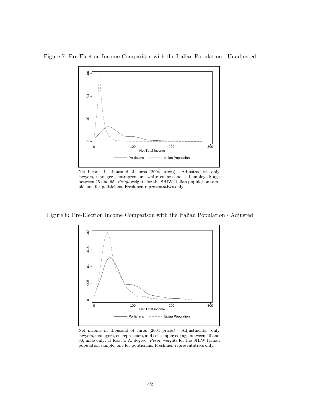Figure 7: Pre-Election Income Comparison with the Italian Population - Unadjusted



Net income in thousand of euros (2004 prices). Adjustments: only lawyers, managers, entrepreneurs, white collars and self-employed; age between 25 and 65. *Pesofl* weights for the SHIW Italian population sample, one for politicians. Freshmen representatives only.

Figure 8: Pre-Election Income Comparison with the Italian Population - Adjusted



Net income in thousand of euros (2004 prices). Adjustments: only lawyers, managers, entrepreneurs, and self-employed; age between 40 and 60; male only; at least B.A. degree. *Pesofl* weights for the SHIW Italian population sample, one for politicians. Freshmen representatives only.